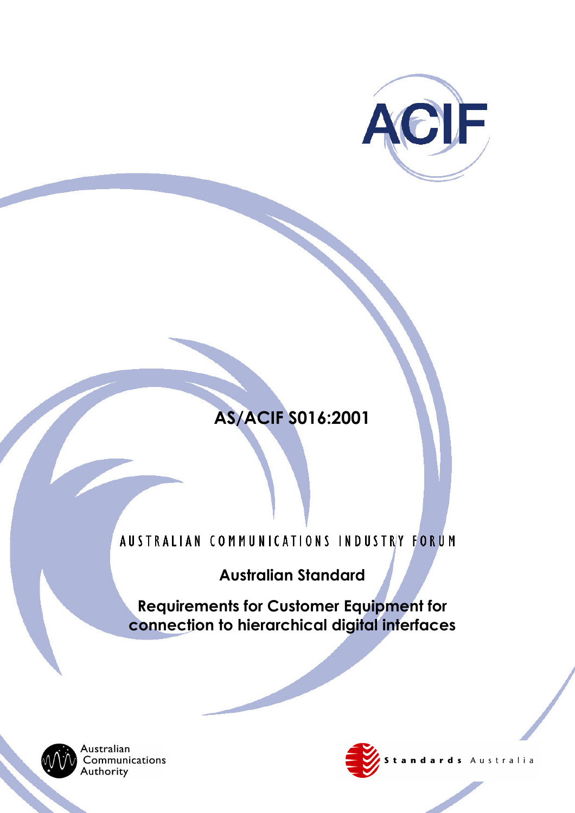

# **AS/ACIF S016:2001**

## AUSTRALIAN COMMUNICATIONS INDUSTRY FORUM

**Australian Standard**

**Requirements for Customer Equipment for connection to hierarchical digital interfaces**



Australian Communications Authority

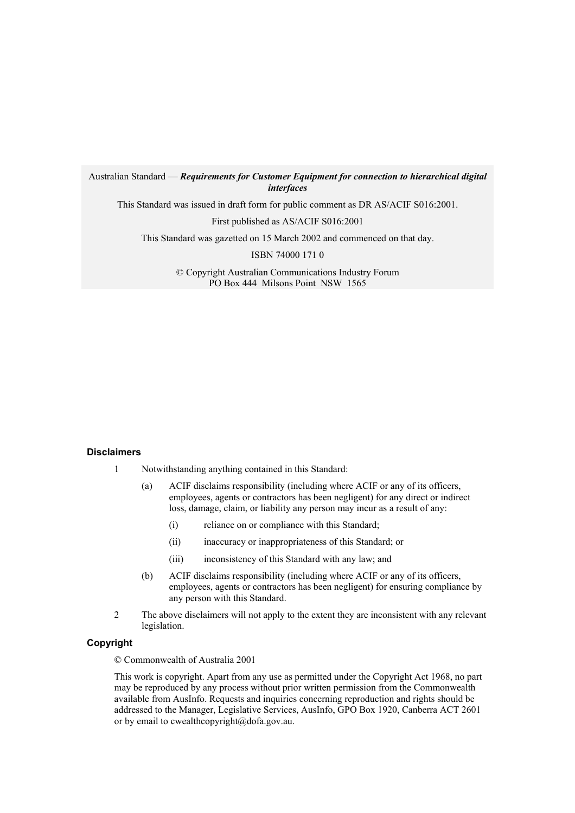#### Australian Standard — *Requirements for Customer Equipment for connection to hierarchical digital interfaces*

This Standard was issued in draft form for public comment as DR AS/ACIF S016:2001.

First published as AS/ACIF S016:2001

This Standard was gazetted on 15 March 2002 and commenced on that day.

ISBN 74000 171 0

© Copyright Australian Communications Industry Forum PO Box 444 Milsons Point NSW 1565

#### **Disclaimers**

- 1 Notwithstanding anything contained in this Standard:
	- (a) ACIF disclaims responsibility (including where ACIF or any of its officers, employees, agents or contractors has been negligent) for any direct or indirect loss, damage, claim, or liability any person may incur as a result of any:
		- (i) reliance on or compliance with this Standard;
		- (ii) inaccuracy or inappropriateness of this Standard; or
		- (iii) inconsistency of this Standard with any law; and
	- (b) ACIF disclaims responsibility (including where ACIF or any of its officers, employees, agents or contractors has been negligent) for ensuring compliance by any person with this Standard.
- 2 The above disclaimers will not apply to the extent they are inconsistent with any relevant legislation.

#### **Copyright**

© Commonwealth of Australia 2001

This work is copyright. Apart from any use as permitted under the Copyright Act 1968, no part may be reproduced by any process without prior written permission from the Commonwealth available from AusInfo. Requests and inquiries concerning reproduction and rights should be addressed to the Manager, Legislative Services, AusInfo, GPO Box 1920, Canberra ACT 2601 or by email to cwealthcopyright@dofa.gov.au.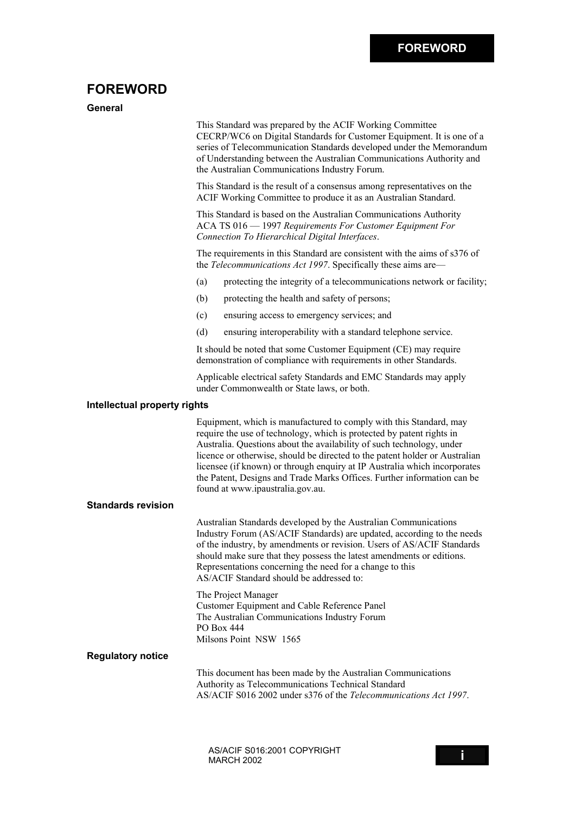## **FOREWORD**

#### **General**

This Standard was prepared by the ACIF Working Committee CECRP/WC6 on Digital Standards for Customer Equipment. It is one of a series of Telecommunication Standards developed under the Memorandum of Understanding between the Australian Communications Authority and the Australian Communications Industry Forum.

This Standard is the result of a consensus among representatives on the ACIF Working Committee to produce it as an Australian Standard.

This Standard is based on the Australian Communications Authority ACA TS 016 — 1997 *Requirements For Customer Equipment For Connection To Hierarchical Digital Interfaces*.

The requirements in this Standard are consistent with the aims of s376 of the *Telecommunications Act 1997*. Specifically these aims are—

- (a) protecting the integrity of a telecommunications network or facility;
- (b) protecting the health and safety of persons;
- (c) ensuring access to emergency services; and
- (d) ensuring interoperability with a standard telephone service.

It should be noted that some Customer Equipment (CE) may require demonstration of compliance with requirements in other Standards.

Applicable electrical safety Standards and EMC Standards may apply under Commonwealth or State laws, or both.

#### **Intellectual property rights**

Equipment, which is manufactured to comply with this Standard, may require the use of technology, which is protected by patent rights in Australia. Questions about the availability of such technology, under licence or otherwise, should be directed to the patent holder or Australian licensee (if known) or through enquiry at IP Australia which incorporates the Patent, Designs and Trade Marks Offices. Further information can be found at www.ipaustralia.gov.au.

#### **Standards revision**

Australian Standards developed by the Australian Communications Industry Forum (AS/ACIF Standards) are updated, according to the needs of the industry, by amendments or revision. Users of AS/ACIF Standards should make sure that they possess the latest amendments or editions. Representations concerning the need for a change to this AS/ACIF Standard should be addressed to:

The Project Manager Customer Equipment and Cable Reference Panel The Australian Communications Industry Forum PO Box 444 Milsons Point NSW 1565

#### **Regulatory notice**

This document has been made by the Australian Communications Authority as Telecommunications Technical Standard AS/ACIF S016 2002 under s376 of the *Telecommunications Act 1997*.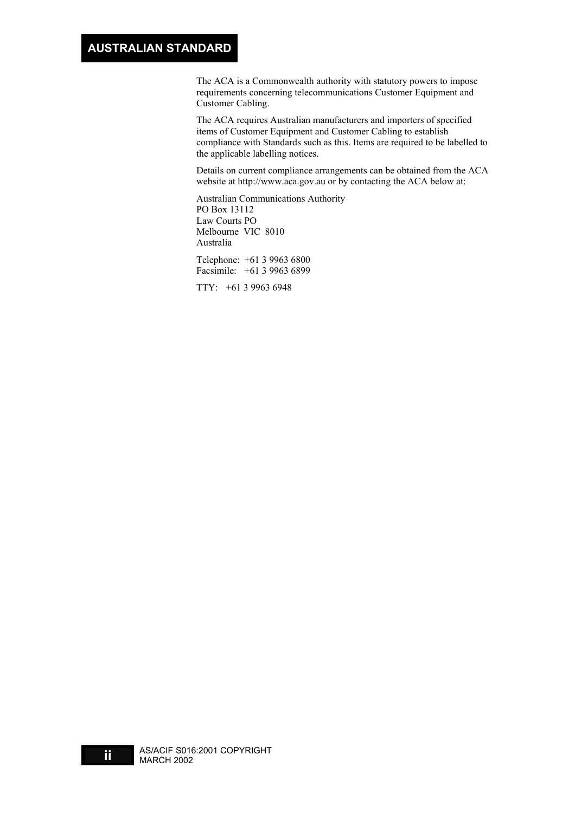The ACA is a Commonwealth authority with statutory powers to impose requirements concerning telecommunications Customer Equipment and Customer Cabling.

The ACA requires Australian manufacturers and importers of specified items of Customer Equipment and Customer Cabling to establish compliance with Standards such as this. Items are required to be labelled to the applicable labelling notices.

Details on current compliance arrangements can be obtained from the ACA website at http://www.aca.gov.au or by contacting the ACA below at:

Australian Communications Authority PO Box 13112 Law Courts PO Melbourne VIC 8010 Australia

Telephone: +61 3 9963 6800 Facsimile: +61 3 9963 6899

TTY: +61 3 9963 6948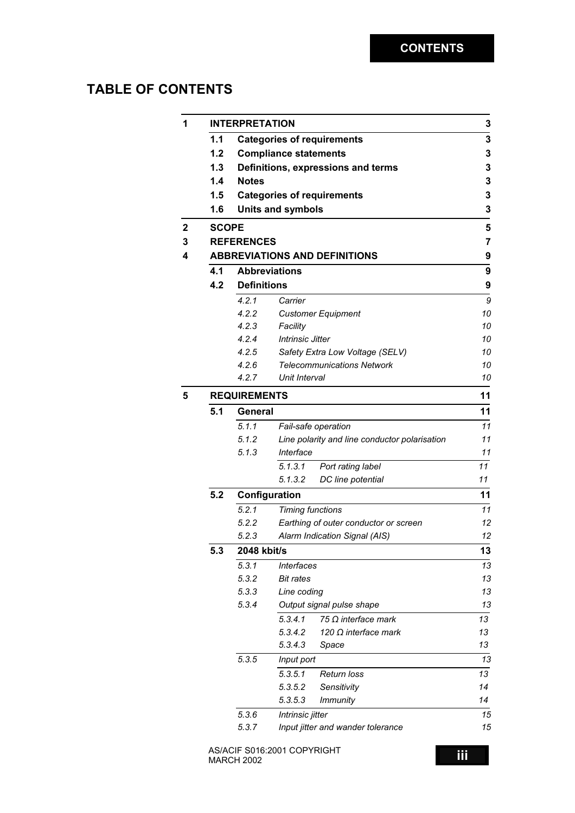## **TABLE OF CONTENTS**

| 1            | <b>INTERPRETATION</b>                |                                                    |                                               |    |  |  |
|--------------|--------------------------------------|----------------------------------------------------|-----------------------------------------------|----|--|--|
|              | 1.1                                  | <b>Categories of requirements</b>                  |                                               |    |  |  |
|              | 1.2                                  | <b>Compliance statements</b>                       |                                               |    |  |  |
|              | 1.3                                  | Definitions, expressions and terms<br><b>Notes</b> |                                               |    |  |  |
|              | 1.4                                  |                                                    |                                               |    |  |  |
|              | 1.5                                  |                                                    | <b>Categories of requirements</b>             | 3  |  |  |
|              | 1.6                                  |                                                    | <b>Units and symbols</b>                      | 3  |  |  |
| $\mathbf{2}$ | <b>SCOPE</b>                         |                                                    |                                               | 5  |  |  |
| 3            |                                      | <b>REFERENCES</b>                                  |                                               | 7  |  |  |
| 4            | <b>ABBREVIATIONS AND DEFINITIONS</b> |                                                    |                                               |    |  |  |
|              | 4.1                                  | <b>Abbreviations</b>                               |                                               |    |  |  |
|              | 4.2                                  | <b>Definitions</b>                                 |                                               | 9  |  |  |
|              |                                      | 4.2.1                                              | Carrier                                       | 9  |  |  |
|              |                                      | 4.2.2                                              | <b>Customer Equipment</b>                     | 10 |  |  |
|              |                                      | 4.2.3                                              | Facility                                      | 10 |  |  |
|              |                                      | 4.2.4                                              | <b>Intrinsic Jitter</b>                       | 10 |  |  |
|              |                                      | 4.2.5                                              | Safety Extra Low Voltage (SELV)               | 10 |  |  |
|              |                                      | 4.2.6                                              | <b>Telecommunications Network</b>             | 10 |  |  |
|              |                                      | 4.2.7                                              | Unit Interval                                 | 10 |  |  |
| 5            |                                      | <b>REQUIREMENTS</b>                                |                                               |    |  |  |
|              | 5.1                                  | General                                            |                                               | 11 |  |  |
|              |                                      | 5.1.1                                              | Fail-safe operation                           | 11 |  |  |
|              |                                      | 5.1.2                                              | Line polarity and line conductor polarisation | 11 |  |  |
|              |                                      | 5.1.3                                              | Interface                                     | 11 |  |  |
|              |                                      |                                                    | 5.1.3.1<br>Port rating label                  | 11 |  |  |
|              |                                      |                                                    | 5.1.3.2<br>DC line potential                  | 11 |  |  |
|              | 5.2                                  |                                                    | Configuration                                 | 11 |  |  |
|              |                                      | 5.2.1                                              | <b>Timing functions</b>                       | 11 |  |  |
|              |                                      | 5.2.2                                              | Earthing of outer conductor or screen         | 12 |  |  |
|              |                                      | 5.2.3                                              | Alarm Indication Signal (AIS)                 | 12 |  |  |
|              | 5.3                                  | 2048 kbit/s                                        |                                               |    |  |  |
|              |                                      | 5.3.1                                              | <b>Interfaces</b>                             | 13 |  |  |
|              |                                      | 5.3.2                                              | <b>Bit rates</b>                              | 13 |  |  |
|              |                                      | 5.3.3                                              | Line coding                                   | 13 |  |  |
|              |                                      | 5.3.4                                              | Output signal pulse shape                     | 13 |  |  |
|              |                                      |                                                    | 5.3.4.1<br>75 Ω interface mark                | 13 |  |  |
|              |                                      |                                                    | 5.3.4.2<br>120 $\Omega$ interface mark        | 13 |  |  |
|              |                                      |                                                    | 5.3.4.3<br>Space                              | 13 |  |  |
|              |                                      | 5.3.5                                              | Input port                                    | 13 |  |  |
|              |                                      |                                                    | 5.3.5.1<br>Return loss                        | 13 |  |  |
|              |                                      |                                                    | 5.3.5.2<br>Sensitivity                        | 14 |  |  |
|              |                                      |                                                    | 5.3.5.3<br><i>Immunity</i>                    | 14 |  |  |
|              |                                      | 5.3.6                                              | Intrinsic jitter                              | 15 |  |  |
|              |                                      | 5.3.7                                              | Input jitter and wander tolerance             | 15 |  |  |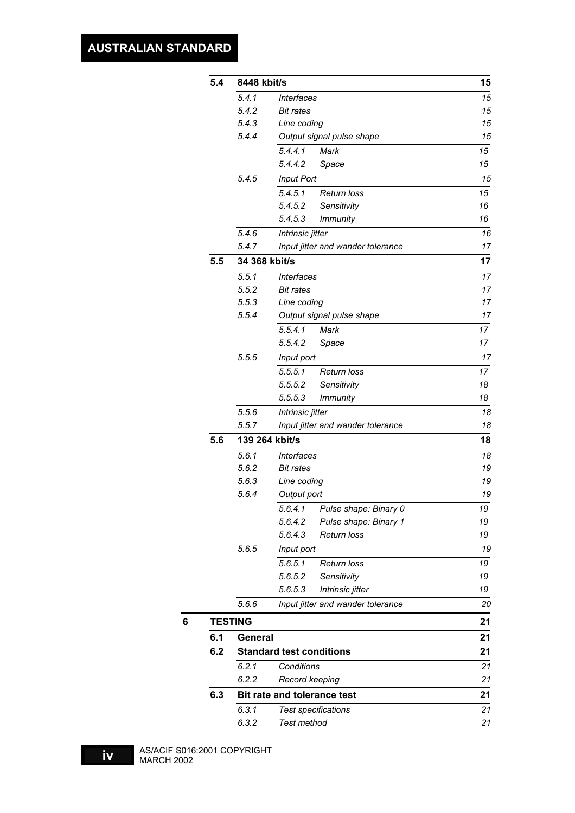| 5.4 | 8448 kbit/s    |                                    | 15 |
|-----|----------------|------------------------------------|----|
|     | 5.4.1          | <i><b>Interfaces</b></i>           | 15 |
|     | 5.4.2          | <b>Bit rates</b>                   | 15 |
|     | 5.4.3          | Line coding                        | 15 |
|     | 5.4.4          | Output signal pulse shape          | 15 |
|     |                | 5.4.4.1<br>Mark                    | 15 |
|     |                | 5.4.4.2<br>Space                   | 15 |
|     | 5.4.5          | <b>Input Port</b>                  | 15 |
|     |                | 5.4.5.1<br>Return loss             | 15 |
|     |                | 5.4.5.2<br>Sensitivity             | 16 |
|     |                | 5.4.5.3<br><i>Immunity</i>         | 16 |
|     | 5.4.6          | Intrinsic jitter                   | 16 |
|     | 5.4.7          | Input jitter and wander tolerance  | 17 |
| 5.5 | 34 368 kbit/s  |                                    | 17 |
|     | 5.5.1          | Interfaces                         | 17 |
|     | 5.5.2          | <b>Bit rates</b>                   | 17 |
|     | 5.5.3          | Line coding                        | 17 |
|     | 5.5.4          | Output signal pulse shape          | 17 |
|     |                | 5.5.4.1<br>Mark                    | 17 |
|     |                | 5.5.4.2<br>Space                   | 17 |
|     | 5.5.5          | Input port                         | 17 |
|     |                | 5.5.5.1<br>Return loss             | 17 |
|     |                | 5.5.5.2<br>Sensitivity             | 18 |
|     |                | 5.5.5.3<br><i>Immunity</i>         | 18 |
|     | 5.5.6          | Intrinsic jitter                   | 18 |
|     | 5.5.7          | Input jitter and wander tolerance  | 18 |
| 5.6 | 139 264 kbit/s |                                    | 18 |
|     | 5.6.1          | <b>Interfaces</b>                  | 18 |
|     | 5.6.2          | <b>Bit rates</b>                   | 19 |
|     | 5.6.3          | Line coding                        | 19 |
|     | 5.6.4          | Output port                        | 19 |
|     |                | 5.6.4.1<br>Pulse shape: Binary 0   | 19 |
|     |                | 5.6.4.2<br>Pulse shape: Binary 1   | 19 |
|     |                | 5.6.4.3<br>Return loss             | 19 |
|     | 5.6.5          | Input port                         | 19 |
|     |                | 5.6.5.1<br>Return loss             | 19 |
|     |                | 5.6.5.2<br>Sensitivity             | 19 |
|     |                | 5.6.5.3<br>Intrinsic jitter        | 19 |
|     | 5.6.6          | Input jitter and wander tolerance  | 20 |
|     | <b>TESTING</b> |                                    | 21 |
| 6.1 | General        |                                    | 21 |
| 6.2 |                | <b>Standard test conditions</b>    | 21 |
|     | 6.2.1          | Conditions                         | 21 |
|     | 6.2.2          | Record keeping                     | 21 |
| 6.3 |                | <b>Bit rate and tolerance test</b> | 21 |
|     | 6.3.1          | <b>Test specifications</b>         | 21 |
|     | 6.3.2          | <b>Test method</b>                 | 21 |

**iv** AS/ACIF S016:2001 COPYRIGHT MARCH 2002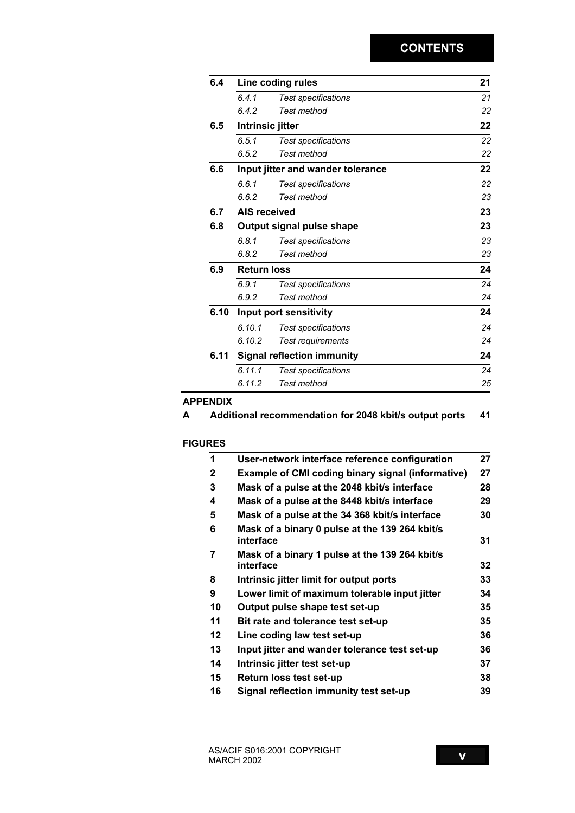| 6.4  | Line coding rules         | 21                                |    |
|------|---------------------------|-----------------------------------|----|
|      | 6.4.1                     | <b>Test specifications</b>        | 21 |
|      | 6.4.2                     | <b>Test method</b>                | 22 |
| 6.5  | Intrinsic jitter          |                                   | 22 |
|      | 6.5.1                     | <b>Test specifications</b>        | 22 |
|      | 6.5.2                     | <b>Test method</b>                | 22 |
| 6.6  |                           | Input jitter and wander tolerance | 22 |
|      | 6.6.1                     | <b>Test specifications</b>        | 22 |
|      | 6.6.2                     | <b>Test method</b>                | 23 |
| 6.7  | <b>AIS received</b>       |                                   | 23 |
| 6.8  | Output signal pulse shape | 23                                |    |
|      | 6.8.1                     | <b>Test specifications</b>        | 23 |
|      | 6.8.2                     | <b>Test method</b>                | 23 |
| 6.9  | <b>Return loss</b>        | 24                                |    |
|      | 6.9.1                     | <b>Test specifications</b>        | 24 |
|      | 6.9.2                     | <b>Test method</b>                | 24 |
| 6.10 | Input port sensitivity    |                                   | 24 |
|      | 6.10.1                    | <b>Test specifications</b>        | 24 |
|      | 6.10.2                    | <b>Test requirements</b>          | 24 |
| 6.11 |                           | <b>Signal reflection immunity</b> | 24 |
|      | 6.11.1                    | <b>Test specifications</b>        | 24 |
|      | 6.11.2                    | <b>Test method</b>                | 25 |

### **APPENDIX**

| A              | Additional recommendation for 2048 kbit/s output ports | -41 |
|----------------|--------------------------------------------------------|-----|
| <b>FIGURES</b> |                                                        |     |

| 1            | User-network interface reference configuration              | 27 |
|--------------|-------------------------------------------------------------|----|
| $\mathbf{2}$ | <b>Example of CMI coding binary signal (informative)</b>    | 27 |
| 3            | Mask of a pulse at the 2048 kbit/s interface                | 28 |
| 4            | Mask of a pulse at the 8448 kbit/s interface                | 29 |
| 5            | Mask of a pulse at the 34 368 kbit/s interface              | 30 |
| 6            | Mask of a binary 0 pulse at the 139 264 kbit/s<br>interface | 31 |
| 7            | Mask of a binary 1 pulse at the 139 264 kbit/s<br>interface | 32 |
| 8            | Intrinsic jitter limit for output ports                     | 33 |
| 9            | Lower limit of maximum tolerable input jitter               | 34 |
| 10           | Output pulse shape test set-up                              | 35 |
| 11           | Bit rate and tolerance test set-up                          | 35 |
| $12 \,$      | Line coding law test set-up                                 | 36 |
| 13           | Input jitter and wander tolerance test set-up               | 36 |
| 14           | Intrinsic jitter test set-up                                | 37 |
| 15           | Return loss test set-up                                     | 38 |
| 16           | Signal reflection immunity test set-up                      | 39 |
|              |                                                             |    |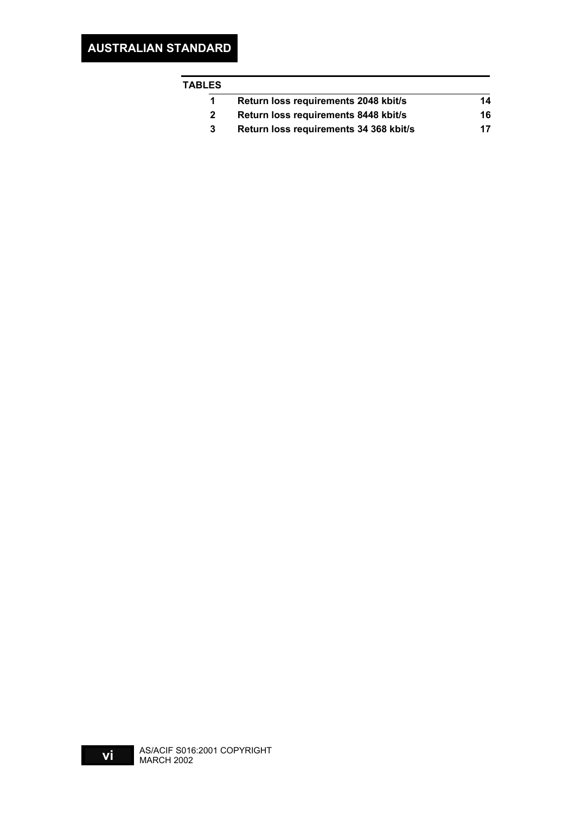| <b>TABLES</b> |                                        |    |
|---------------|----------------------------------------|----|
| 1.            | Return loss requirements 2048 kbit/s   | 14 |
|               | Return loss requirements 8448 kbit/s   | 16 |
| 3             | Return loss requirements 34 368 kbit/s | 17 |

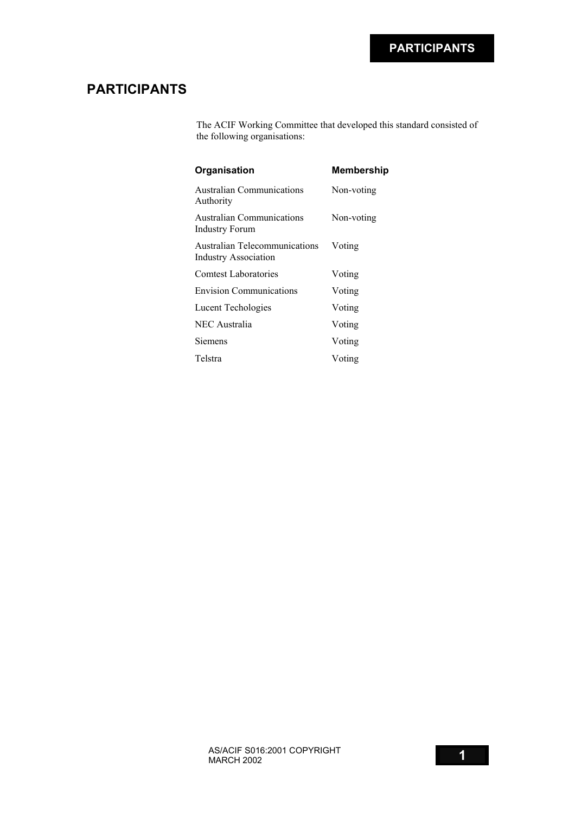## **PARTICIPANTS**

The ACIF Working Committee that developed this standard consisted of the following organisations:

| Membership |  |
|------------|--|
| Non-voting |  |
| Non-voting |  |
| Voting     |  |
| Voting     |  |
| Voting     |  |
| Voting     |  |
| Voting     |  |
| Voting     |  |
| Voting     |  |
|            |  |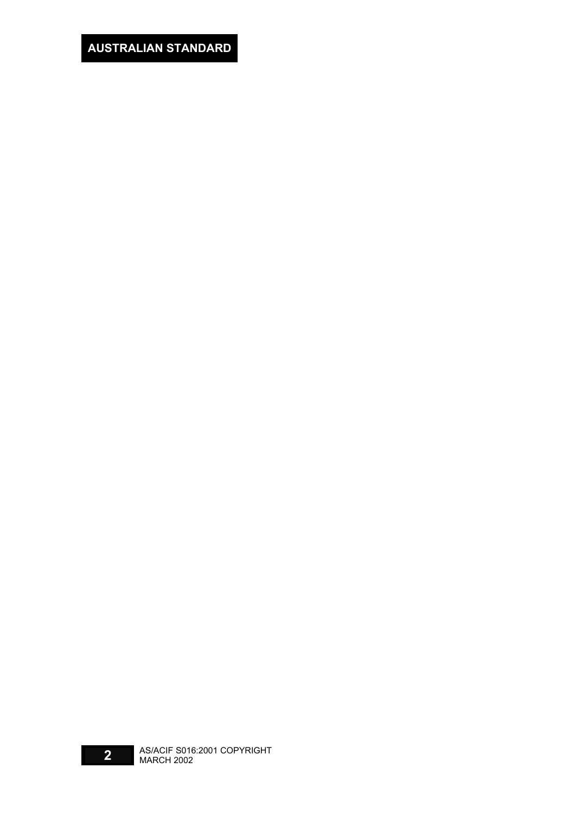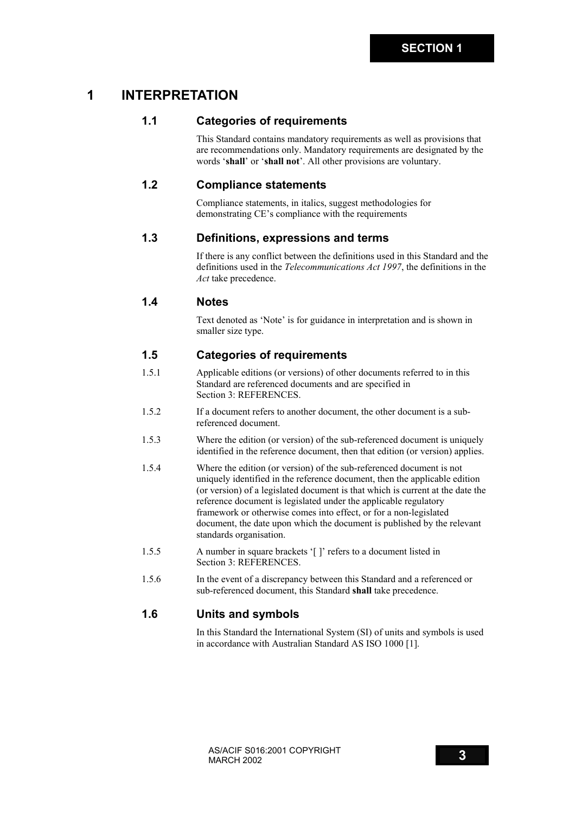## <span id="page-10-0"></span>**1 INTERPRETATION**

### **1.1 Categories of requirements**

<span id="page-10-1"></span>This Standard contains mandatory requirements as well as provisions that are recommendations only. Mandatory requirements are designated by the words '**shall**' or '**shall not**'. All other provisions are voluntary.

## **1.2 Compliance statements**

<span id="page-10-2"></span>Compliance statements, in italics, suggest methodologies for demonstrating CE's compliance with the requirements

### **1.3 Definitions, expressions and terms**

<span id="page-10-3"></span>If there is any conflict between the definitions used in this Standard and the definitions used in the *Telecommunications Act 1997*, the definitions in the *Act* take precedence.

### **1.4 Notes**

<span id="page-10-5"></span><span id="page-10-4"></span>Text denoted as 'Note' is for guidance in interpretation and is shown in smaller size type.

### **1.5 Categories of requirements**

- 1.5.1 Applicable editions (or versions) of other documents referred to in this Standard are referenced documents and are specified in Section 3: REFERENCES.
- 1.5.2 If a document refers to another document, the other document is a subreferenced document.
- 1.5.3 Where the edition (or version) of the sub-referenced document is uniquely identified in the reference document, then that edition (or version) applies.
- 1.5.4 Where the edition (or version) of the sub-referenced document is not uniquely identified in the reference document, then the applicable edition (or version) of a legislated document is that which is current at the date the reference document is legislated under the applicable regulatory framework or otherwise comes into effect, or for a non-legislated document, the date upon which the document is published by the relevant standards organisation.
- 1.5.5 A number in square brackets '[ ]' refers to a document listed in Section 3: REFERENCES
- 1.5.6 In the event of a discrepancy between this Standard and a referenced or sub-referenced document, this Standard **shall** take precedence.

## **1.6 Units and symbols**

<span id="page-10-6"></span>In this Standard the International System (SI) of units and symbols is used in accordance with Australian Standard AS ISO 1000 [1].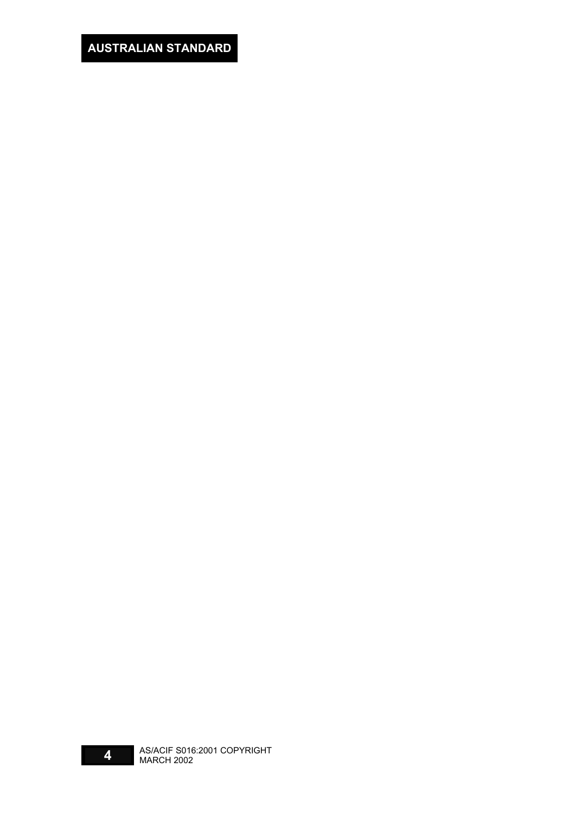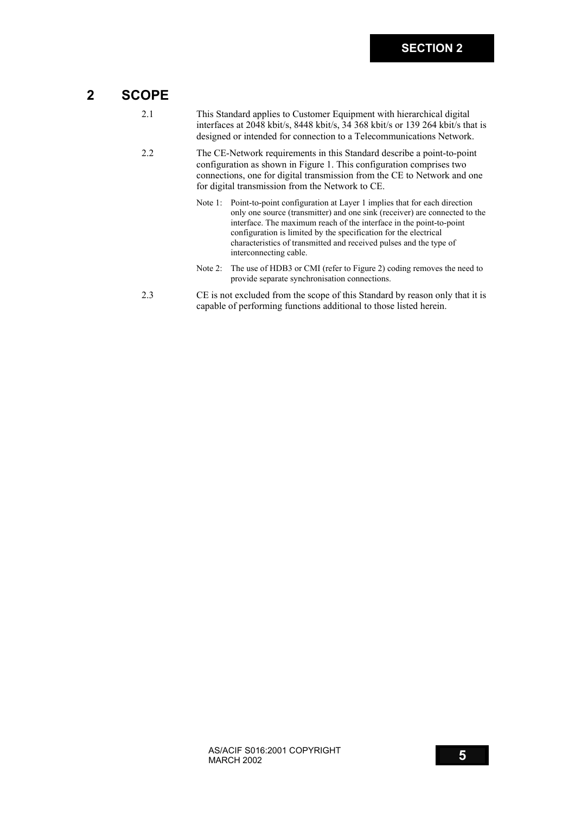## **2 SCOPE**

- <span id="page-12-0"></span>2.1 This Standard applies to Customer Equipment with hierarchical digital interfaces at 2048 kbit/s, 8448 kbit/s, 34 368 kbit/s or 139 264 kbit/s that is designed or intended for connection to a Telecommunications Network.
- 2.2 The CE-Network requirements in this Standard describe a point-to-point configuration as shown in Figure 1. This configuration comprises two connections, one for digital transmission from the CE to Network and one for digital transmission from the Network to CE.
	- Note 1: Point-to-point configuration at Layer 1 implies that for each direction only one source (transmitter) and one sink (receiver) are connected to the interface. The maximum reach of the interface in the point-to-point configuration is limited by the specification for the electrical characteristics of transmitted and received pulses and the type of interconnecting cable.
	- Note 2: The use of HDB3 or CMI (refer to Figure 2) coding removes the need to provide separate synchronisation connections.
- 2.3 CE is not excluded from the scope of this Standard by reason only that it is capable of performing functions additional to those listed herein.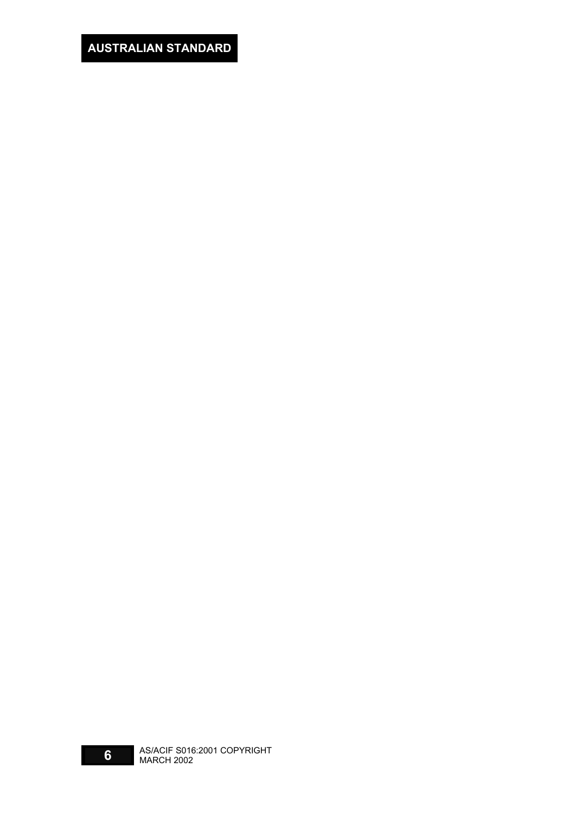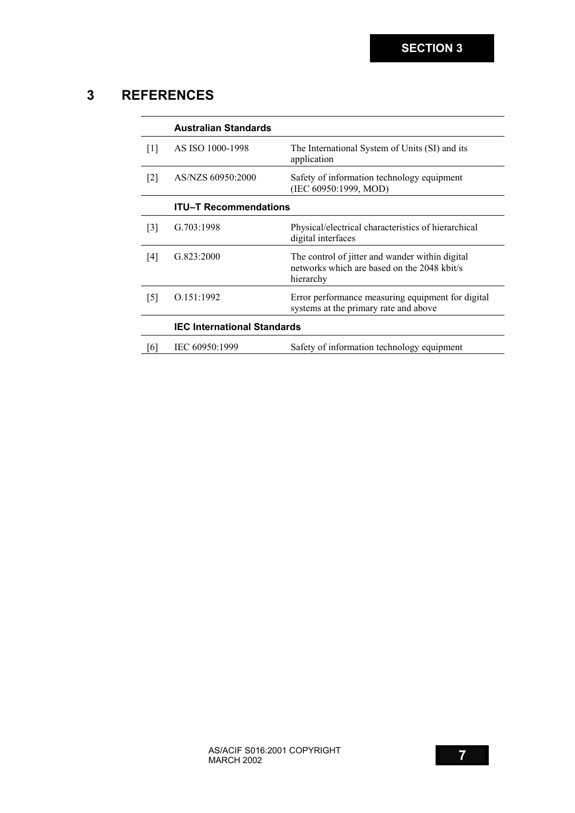## **3 REFERENCES**

<span id="page-14-0"></span>

|                   | <b>Australian Standards</b>        |                                                                                                             |  |
|-------------------|------------------------------------|-------------------------------------------------------------------------------------------------------------|--|
| [1]               | AS ISO 1000-1998                   | The International System of Units (SI) and its<br>application                                               |  |
| $[2]$             | AS/NZS 60950:2000                  | Safety of information technology equipment<br>(IEC 60950:1999, MOD)                                         |  |
|                   | <b>ITU-T Recommendations</b>       |                                                                                                             |  |
| $\lceil 3 \rceil$ | G.703:1998                         | Physical/electrical characteristics of hierarchical<br>digital interfaces                                   |  |
| [4]               | G.823:2000                         | The control of jitter and wander within digital<br>networks which are based on the 2048 kbit/s<br>hierarchy |  |
| $[5]$             | 0.151:1992                         | Error performance measuring equipment for digital<br>systems at the primary rate and above                  |  |
|                   | <b>IEC International Standards</b> |                                                                                                             |  |
| [6]               | IEC 60950:1999                     | Safety of information technology equipment                                                                  |  |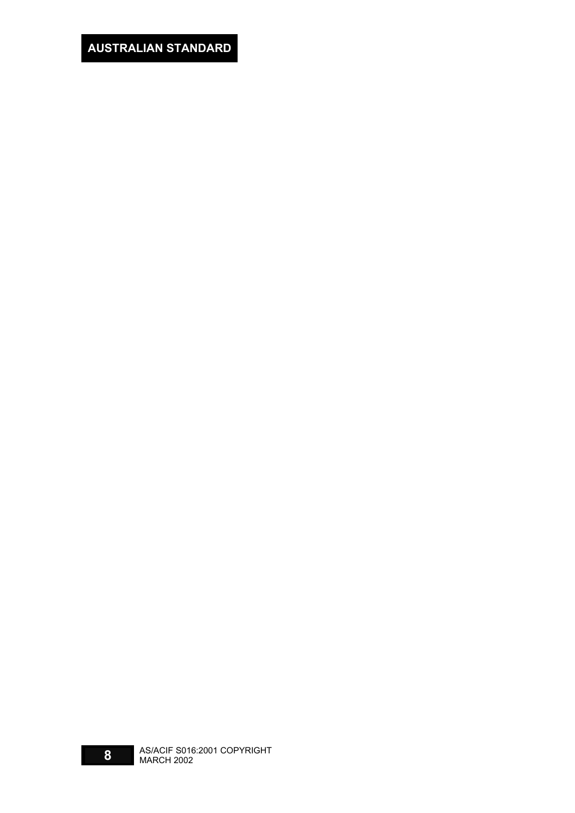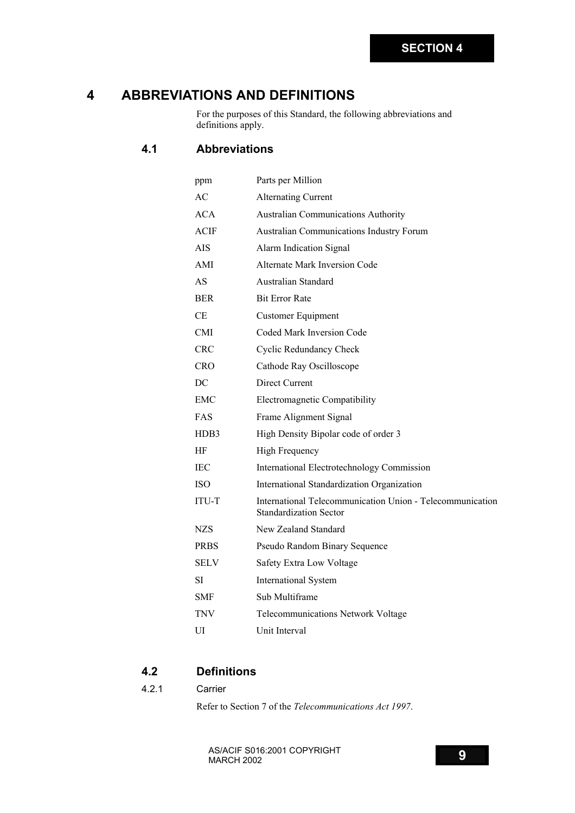## <span id="page-16-0"></span>**4 ABBREVIATIONS AND DEFINITIONS**

<span id="page-16-1"></span>For the purposes of this Standard, the following abbreviations and definitions apply.

## **4.1 Abbreviations**

| ppm          | Parts per Million                                                                          |
|--------------|--------------------------------------------------------------------------------------------|
| AC           | <b>Alternating Current</b>                                                                 |
| <b>ACA</b>   | <b>Australian Communications Authority</b>                                                 |
| ACIF         | <b>Australian Communications Industry Forum</b>                                            |
| <b>AIS</b>   | Alarm Indication Signal                                                                    |
| AMI          | <b>Alternate Mark Inversion Code</b>                                                       |
| AS           | Australian Standard                                                                        |
| <b>BER</b>   | <b>Bit Error Rate</b>                                                                      |
| СE           | <b>Customer Equipment</b>                                                                  |
| CMI          | Coded Mark Inversion Code                                                                  |
| <b>CRC</b>   | <b>Cyclic Redundancy Check</b>                                                             |
| CRO          | Cathode Ray Oscilloscope                                                                   |
| DC           | Direct Current                                                                             |
| <b>EMC</b>   | Electromagnetic Compatibility                                                              |
| FAS          | Frame Alignment Signal                                                                     |
| HDB3         | High Density Bipolar code of order 3                                                       |
| НF           | <b>High Frequency</b>                                                                      |
| IEC          | International Electrotechnology Commission                                                 |
| <b>ISO</b>   | International Standardization Organization                                                 |
| <b>ITU-T</b> | International Telecommunication Union - Telecommunication<br><b>Standardization Sector</b> |
| NZS          | New Zealand Standard                                                                       |
| <b>PRBS</b>  | Pseudo Random Binary Sequence                                                              |
| SELV         | Safety Extra Low Voltage                                                                   |
| SІ           | <b>International System</b>                                                                |
| SMF          | Sub Multiframe                                                                             |
| TNV          | Telecommunications Network Voltage                                                         |
| UI           | Unit Interval                                                                              |

## **4.2 Definitions**

4.2.1 Carrier

<span id="page-16-3"></span><span id="page-16-2"></span>Refer to Section 7 of the *Telecommunications Act 1997*.

AS/ACIF S016:2001 COPYRIGHT MARCH 2002 **9**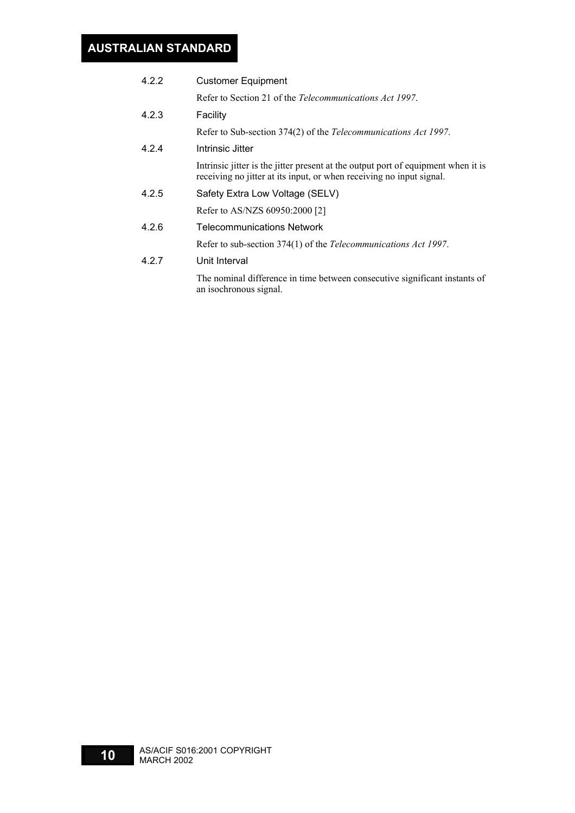<span id="page-17-5"></span><span id="page-17-4"></span><span id="page-17-3"></span><span id="page-17-2"></span><span id="page-17-1"></span><span id="page-17-0"></span>

| 4.2.2 | <b>Customer Equipment</b>                                                                                                                                 |  |  |
|-------|-----------------------------------------------------------------------------------------------------------------------------------------------------------|--|--|
|       | Refer to Section 21 of the <i>Telecommunications Act 1997</i> .                                                                                           |  |  |
| 4.2.3 | Facility                                                                                                                                                  |  |  |
|       | Refer to Sub-section 374(2) of the Telecommunications Act 1997.                                                                                           |  |  |
| 4.2.4 | Intrinsic Jitter                                                                                                                                          |  |  |
|       | Intrinsic jitter is the jitter present at the output port of equipment when it is<br>receiving no jitter at its input, or when receiving no input signal. |  |  |
| 4.2.5 | Safety Extra Low Voltage (SELV)                                                                                                                           |  |  |
|       | Refer to AS/NZS 60950:2000 [2]                                                                                                                            |  |  |
| 4.2.6 | <b>Telecommunications Network</b>                                                                                                                         |  |  |
|       | Refer to sub-section 374(1) of the Telecommunications Act 1997.                                                                                           |  |  |
| 4.2.7 | Unit Interval                                                                                                                                             |  |  |
|       | The nominal difference in time between consecutive significant instants of<br>an isochronous signal.                                                      |  |  |

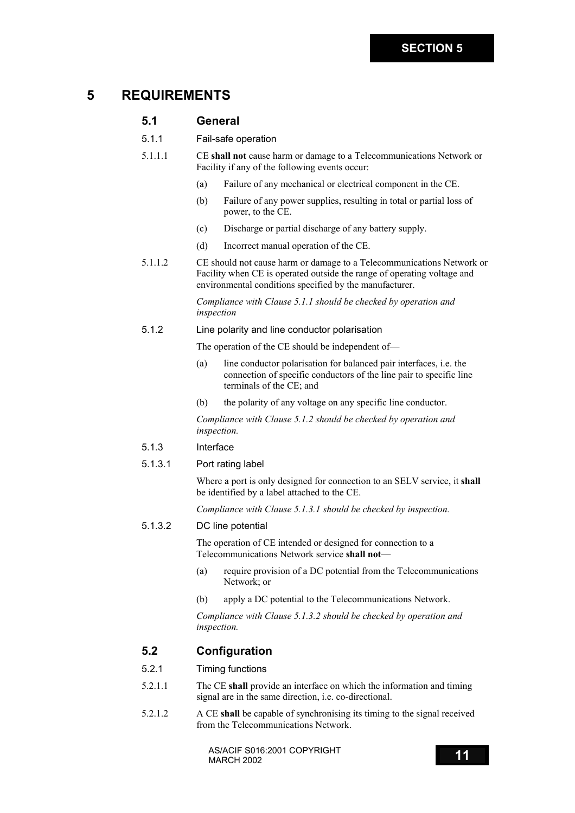## **5 REQUIREMENTS**

#### <span id="page-18-1"></span><span id="page-18-0"></span>**5.1 General**

#### 5.1.1 Fail-safe operation

#### 5.1.1.1 CE **shall not** cause harm or damage to a Telecommunications Network or Facility if any of the following events occur:

- <span id="page-18-2"></span>(a) Failure of any mechanical or electrical component in the CE.
- (b) Failure of any power supplies, resulting in total or partial loss of power, to the CE.
- (c) Discharge or partial discharge of any battery supply.
- (d) Incorrect manual operation of the CE.
- 5.1.1.2 CE should not cause harm or damage to a Telecommunications Network or Facility when CE is operated outside the range of operating voltage and environmental conditions specified by the manufacturer.

*Compliance with Clause 5.1.1 should be checked by operation and inspection*

#### 5.1.2 Line polarity and line conductor polarisation

<span id="page-18-3"></span>The operation of the CE should be independent of—

- (a) line conductor polarisation for balanced pair interfaces, i.e. the connection of specific conductors of the line pair to specific line terminals of the CE; and
- (b) the polarity of any voltage on any specific line conductor.

<span id="page-18-4"></span>*Compliance with Clause 5.1.2 should be checked by operation and inspection.*

#### 5.1.3 Interface

#### 5.1.3.1 Port rating label

<span id="page-18-5"></span>Where a port is only designed for connection to an SELV service, it **shall** be identified by a label attached to the CE.

<span id="page-18-6"></span>*Compliance with Clause 5.1.3.1 should be checked by inspection.*

#### 5.1.3.2 DC line potential

The operation of CE intended or designed for connection to a Telecommunications Network service **shall not**—

- (a) require provision of a DC potential from the Telecommunications Network; or
- (b) apply a DC potential to the Telecommunications Network.

<span id="page-18-8"></span><span id="page-18-7"></span>*Compliance with Clause 5.1.3.2 should be checked by operation and inspection.*

## **5.2 Configuration**

- 5.2.1 Timing functions
- 5.2.1.1 The CE **shall** provide an interface on which the information and timing signal are in the same direction, i.e. co-directional.
- 5.2.1.2 A CE **shall** be capable of synchronising its timing to the signal received from the Telecommunications Network.

AS/ACIF S016:2001 COPYRIGHT MARCH 2002 **11**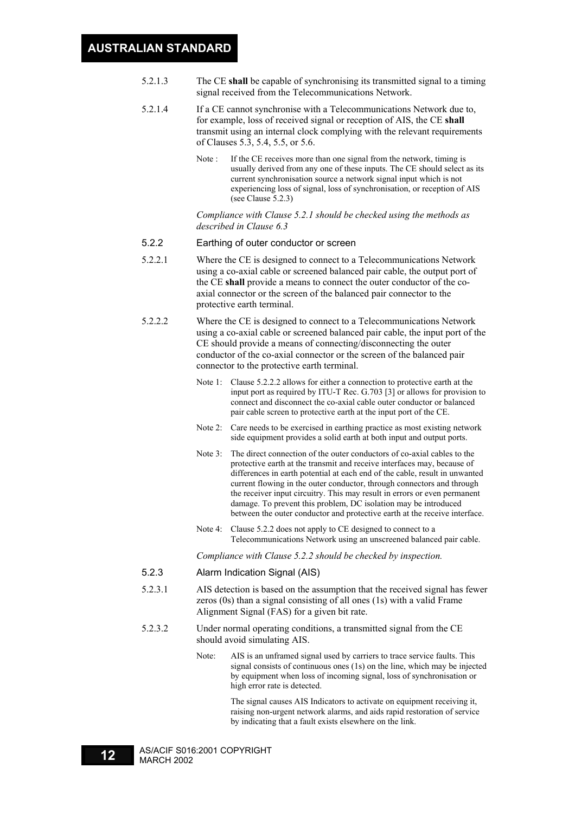- 5.2.1.3 The CE **shall** be capable of synchronising its transmitted signal to a timing signal received from the Telecommunications Network.
- 5.2.1.4 If a CE cannot synchronise with a Telecommunications Network due to, for example, loss of received signal or reception of AIS, the CE **shall** transmit using an internal clock complying with the relevant requirements of Clauses 5.3, 5.4, 5.5, or 5.6.
	- Note : If the CE receives more than one signal from the network, timing is usually derived from any one of these inputs. The CE should select as its current synchronisation source a network signal input which is not experiencing loss of signal, loss of synchronisation, or reception of AIS (see Clause 5.2.3)

<span id="page-19-0"></span>*Compliance with Clause 5.2.1 should be checked using the methods as described in Clause 6.3*

#### 5.2.2 Earthing of outer conductor or screen

- 5.2.2.1 Where the CE is designed to connect to a Telecommunications Network using a co-axial cable or screened balanced pair cable, the output port of the CE **shall** provide a means to connect the outer conductor of the coaxial connector or the screen of the balanced pair connector to the protective earth terminal.
- 5.2.2.2 Where the CE is designed to connect to a Telecommunications Network using a co-axial cable or screened balanced pair cable, the input port of the CE should provide a means of connecting/disconnecting the outer conductor of the co-axial connector or the screen of the balanced pair connector to the protective earth terminal.
	- Note 1: Clause 5.2.2.2 allows for either a connection to protective earth at the input port as required by ITU-T Rec. G.703 [3] or allows for provision to connect and disconnect the co-axial cable outer conductor or balanced pair cable screen to protective earth at the input port of the CE.
	- Note 2: Care needs to be exercised in earthing practice as most existing network side equipment provides a solid earth at both input and output ports.
	- Note  $3<sup>+</sup>$  The direct connection of the outer conductors of co-axial cables to the protective earth at the transmit and receive interfaces may, because of differences in earth potential at each end of the cable, result in unwanted current flowing in the outer conductor, through connectors and through the receiver input circuitry. This may result in errors or even permanent damage. To prevent this problem, DC isolation may be introduced between the outer conductor and protective earth at the receive interface.
	- Note 4: Clause 5.2.2 does not apply to CE designed to connect to a Telecommunications Network using an unscreened balanced pair cable.

<span id="page-19-1"></span>*Compliance with Clause 5.2.2 should be checked by inspection.*

- 5.2.3 Alarm Indication Signal (AIS)
- 5.2.3.1 AIS detection is based on the assumption that the received signal has fewer zeros (0s) than a signal consisting of all ones (1s) with a valid Frame Alignment Signal (FAS) for a given bit rate.
- 5.2.3.2 Under normal operating conditions, a transmitted signal from the CE should avoid simulating AIS.
	- Note: AIS is an unframed signal used by carriers to trace service faults. This signal consists of continuous ones (1s) on the line, which may be injected by equipment when loss of incoming signal, loss of synchronisation or high error rate is detected.

The signal causes AIS Indicators to activate on equipment receiving it, raising non-urgent network alarms, and aids rapid restoration of service by indicating that a fault exists elsewhere on the link.

**12** AS/ACIF S016:2001 COPYRIGHT MARCH 2002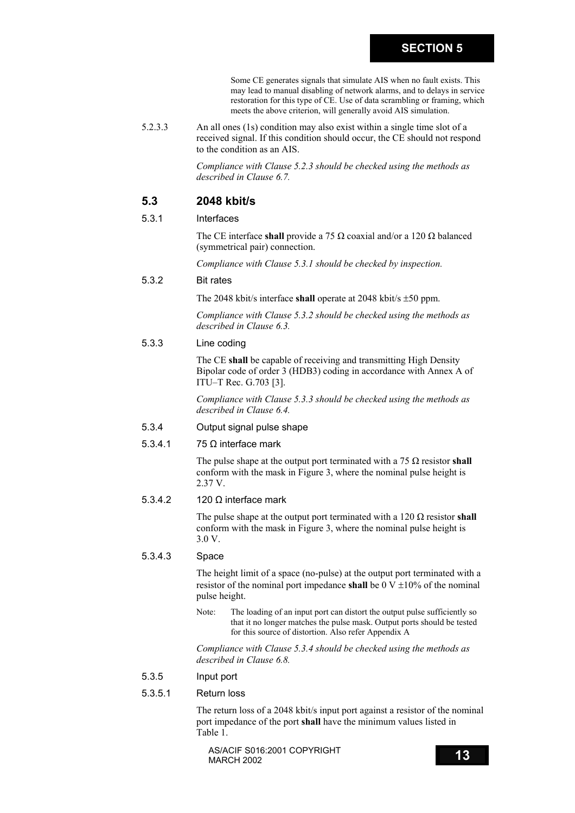Some CE generates signals that simulate AIS when no fault exists. This may lead to manual disabling of network alarms, and to delays in service restoration for this type of CE. Use of data scrambling or framing, which meets the above criterion, will generally avoid AIS simulation.

5.2.3.3 An all ones (1s) condition may also exist within a single time slot of a received signal. If this condition should occur, the CE should not respond to the condition as an AIS.

> <span id="page-20-0"></span>*Compliance with Clause 5.2.3 should be checked using the methods as described in Clause 6.7.*

#### **5.3 2048 kbit/s**

#### 5.3.1 Interfaces

<span id="page-20-1"></span>The CE interface **shall** provide a 75 Ω coaxial and/or a 120 Ω balanced (symmetrical pair) connection.

<span id="page-20-2"></span>*Compliance with Clause 5.3.1 should be checked by inspection.*

#### 5.3.2 Bit rates

The 2048 kbit/s interface **shall** operate at 2048 kbit/s ±50 ppm.

*Compliance with Clause 5.3.2 should be checked using the methods as described in Clause 6.3.*

#### 5.3.3 Line coding

<span id="page-20-3"></span>The CE **shall** be capable of receiving and transmitting High Density Bipolar code of order 3 (HDB3) coding in accordance with Annex A of ITU–T Rec. G.703 [3].

<span id="page-20-4"></span>*Compliance with Clause 5.3.3 should be checked using the methods as described in Clause 6.4.*

#### 5.3.4 Output signal pulse shape

#### 5.3.4.1 75  $\Omega$  interface mark

<span id="page-20-5"></span>The pulse shape at the output port terminated with a  $75 \Omega$  resistor **shall** conform with the mask in Figure 3, where the nominal pulse height is 2.37 V.

#### 5.3.4.2 120 Ω interface mark

<span id="page-20-6"></span>The pulse shape at the output port terminated with a  $120 \Omega$  resistor **shall** conform with the mask in Figure 3, where the nominal pulse height is 3.0 V.

#### 5.3.4.3 Space

<span id="page-20-7"></span>The height limit of a space (no-pulse) at the output port terminated with a resistor of the nominal port impedance **shall** be  $0 \text{ V } \pm 10\%$  of the nominal pulse height.

Note: The loading of an input port can distort the output pulse sufficiently so that it no longer matches the pulse mask. Output ports should be tested for this source of distortion. Also refer Appendix A

<span id="page-20-8"></span>*Compliance with Clause 5.3.4 should be checked using the methods as described in Clause 6.8.*

#### 5.3.5 Input port

#### 5.3.5.1 Return loss

<span id="page-20-9"></span>The return loss of a 2048 kbit/s input port against a resistor of the nominal port impedance of the port **shall** have the minimum values listed in Table 1.

AS/ACIF S016:2001 COPYRIGHT MARCH 2002 **13**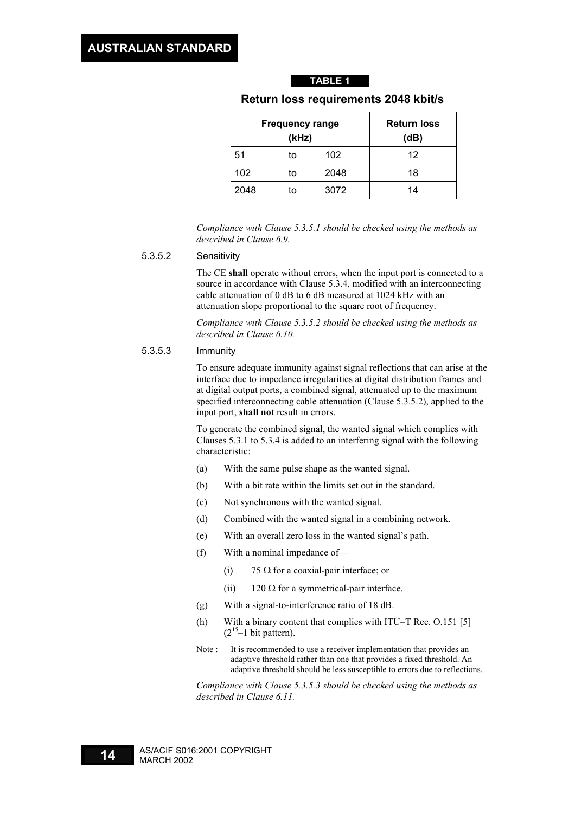#### <span id="page-21-2"></span>**TABLE 1**

## **Frequency range | Return loss (kHz) (dB)** 51 to 102 12 102 to 2048 and to 18 2048 to 3072 14

### **Return loss requirements 2048 kbit/s**

*Compliance with Clause 5.3.5.1 should be checked using the methods as described in Clause 6.9.*

#### 5.3.5.2 Sensitivity

<span id="page-21-0"></span>The CE **shall** operate without errors, when the input port is connected to a source in accordance with Clause 5.3.4, modified with an interconnecting cable attenuation of 0 dB to 6 dB measured at 1024 kHz with an attenuation slope proportional to the square root of frequency.

*Compliance with Clause 5.3.5.2 should be checked using the methods as described in Clause 6.10.*

#### 5.3.5.3 Immunity

<span id="page-21-1"></span>To ensure adequate immunity against signal reflections that can arise at the interface due to impedance irregularities at digital distribution frames and at digital output ports, a combined signal, attenuated up to the maximum specified interconnecting cable attenuation (Clause 5.3.5.2), applied to the input port, **shall not** result in errors.

To generate the combined signal, the wanted signal which complies with Clauses 5.3.1 to 5.3.4 is added to an interfering signal with the following characteristic:

- (a) With the same pulse shape as the wanted signal.
- (b) With a bit rate within the limits set out in the standard.
- (c) Not synchronous with the wanted signal.
- (d) Combined with the wanted signal in a combining network.
- (e) With an overall zero loss in the wanted signal's path.
- (f) With a nominal impedance of—
	- (i) 75  $\Omega$  for a coaxial-pair interface; or
	- (ii)  $120 \Omega$  for a symmetrical-pair interface.
- (g) With a signal-to-interference ratio of 18 dB.
- (h) With a binary content that complies with ITU–T Rec. O.151 [5]  $(2<sup>15</sup>-1$  bit pattern).
- Note : It is recommended to use a receiver implementation that provides an adaptive threshold rather than one that provides a fixed threshold. An adaptive threshold should be less susceptible to errors due to reflections.

*Compliance with Clause 5.3.5.3 should be checked using the methods as described in Clause 6.11.*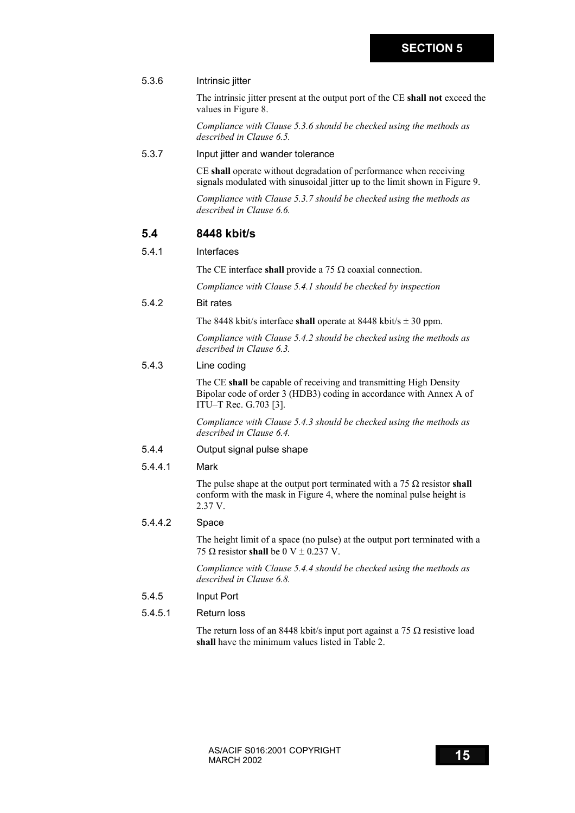5.3.6 Intrinsic jitter

<span id="page-22-0"></span>The intrinsic jitter present at the output port of the CE **shall not** exceed the values in Figure 8.

*Compliance with Clause 5.3.6 should be checked using the methods as described in Clause 6.5.*

5.3.7 Input jitter and wander tolerance

<span id="page-22-1"></span>CE **shall** operate without degradation of performance when receiving signals modulated with sinusoidal jitter up to the limit shown in Figure 9.

<span id="page-22-2"></span>*Compliance with Clause 5.3.7 should be checked using the methods as described in Clause 6.6.*

#### **5.4 8448 kbit/s**

#### 5.4.1 Interfaces

<span id="page-22-3"></span>The CE interface **shall** provide a 75  $\Omega$  coaxial connection.

<span id="page-22-4"></span>*Compliance with Clause 5.4.1 should be checked by inspection*

#### 5.4.2 Bit rates

The 8448 kbit/s interface **shall** operate at 8448 kbit/s  $\pm$  30 ppm.

*Compliance with Clause 5.4.2 should be checked using the methods as described in Clause 6.3.*

#### 5.4.3 Line coding

<span id="page-22-5"></span>The CE **shall** be capable of receiving and transmitting High Density Bipolar code of order 3 (HDB3) coding in accordance with Annex A of ITU–T Rec. G.703 [3].

<span id="page-22-6"></span>*Compliance with Clause 5.4.3 should be checked using the methods as described in Clause 6.4.*

#### 5.4.4 Output signal pulse shape

#### 5.4.4.1 Mark

<span id="page-22-7"></span>The pulse shape at the output port terminated with a 75  $\Omega$  resistor **shall** conform with the mask in Figure 4, where the nominal pulse height is 2.37 V.

#### 5.4.4.2 Space

<span id="page-22-8"></span>The height limit of a space (no pulse) at the output port terminated with a 75  $\Omega$  resistor **shall** be 0 V  $\pm$  0.237 V.

<span id="page-22-9"></span>*Compliance with Clause 5.4.4 should be checked using the methods as described in Clause 6.8.*

5.4.5 Input Port

#### 5.4.5.1 Return loss

<span id="page-22-10"></span>The return loss of an 8448 kbit/s input port against a 75  $\Omega$  resistive load **shall** have the minimum values listed in Table 2.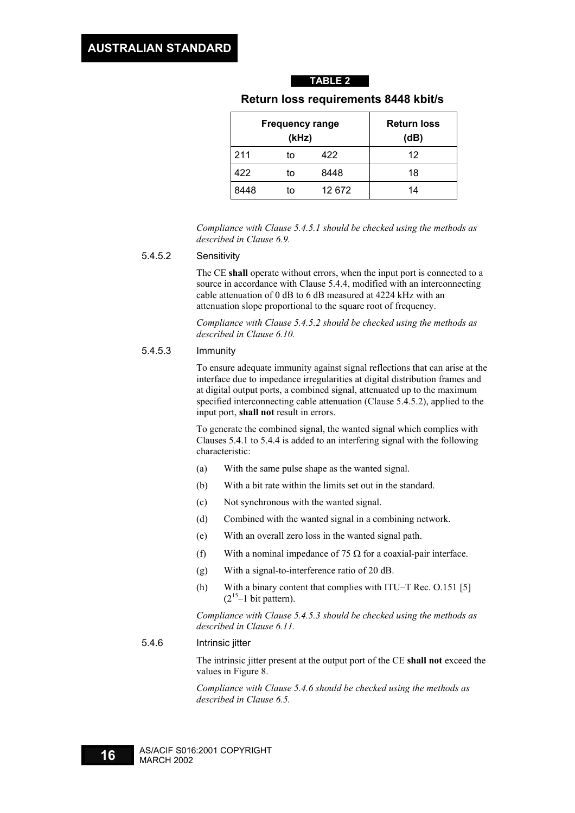#### <span id="page-23-3"></span>**TABLE 2**

#### **Return loss requirements 8448 kbit/s**

|      | <b>Frequency range</b><br>(kHz) | <b>Return loss</b><br>(dB) |    |
|------|---------------------------------|----------------------------|----|
| 211  | to                              | 422                        | 12 |
| 422  | to                              | 8448                       | 18 |
| 8448 | to                              | 12672                      | 14 |

*Compliance with Clause 5.4.5.1 should be checked using the methods as described in Clause 6.9.*

#### 5.4.5.2 Sensitivity

<span id="page-23-0"></span>The CE **shall** operate without errors, when the input port is connected to a source in accordance with Clause 5.4.4, modified with an interconnecting cable attenuation of 0 dB to 6 dB measured at 4224 kHz with an attenuation slope proportional to the square root of frequency.

*Compliance with Clause 5.4.5.2 should be checked using the methods as described in Clause 6.10.*

#### 5.4.5.3 Immunity

<span id="page-23-1"></span>To ensure adequate immunity against signal reflections that can arise at the interface due to impedance irregularities at digital distribution frames and at digital output ports, a combined signal, attenuated up to the maximum specified interconnecting cable attenuation (Clause 5.4.5.2), applied to the input port, **shall not** result in errors.

To generate the combined signal, the wanted signal which complies with Clauses 5.4.1 to 5.4.4 is added to an interfering signal with the following characteristic:

- (a) With the same pulse shape as the wanted signal.
- (b) With a bit rate within the limits set out in the standard.
- (c) Not synchronous with the wanted signal.
- (d) Combined with the wanted signal in a combining network.
- (e) With an overall zero loss in the wanted signal path.
- (f) With a nominal impedance of 75  $\Omega$  for a coaxial-pair interface.
- (g) With a signal-to-interference ratio of 20 dB.
- (h) With a binary content that complies with ITU–T Rec. O.151 [5]  $(2<sup>15</sup>-1$  bit pattern).

*Compliance with Clause 5.4.5.3 should be checked using the methods as described in Clause 6.11.*

#### 5.4.6 Intrinsic jitter

<span id="page-23-2"></span>The intrinsic jitter present at the output port of the CE **shall not** exceed the values in Figure 8.

*Compliance with Clause 5.4.6 should be checked using the methods as described in Clause 6.5.*

**16** AS/ACIF S016:2001 COPYRIGHT MARCH 2002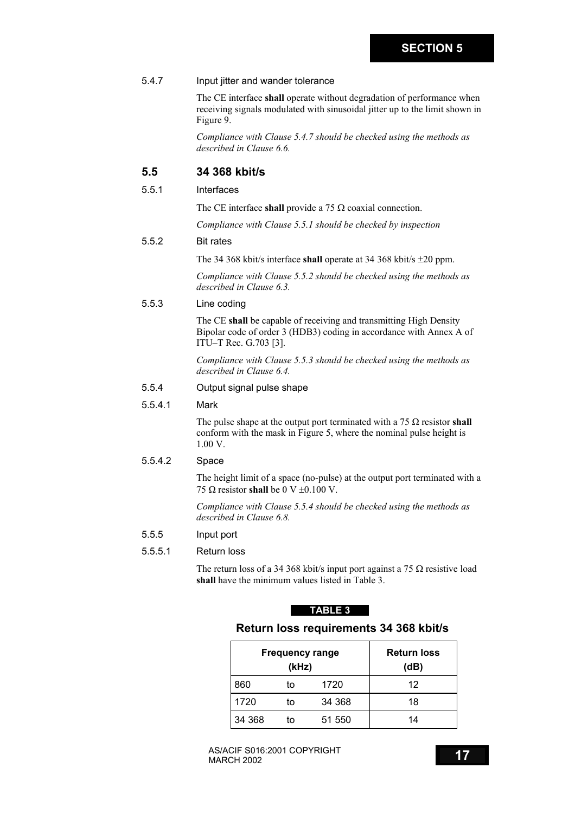#### 5.4.7 Input jitter and wander tolerance

<span id="page-24-0"></span>The CE interface **shall** operate without degradation of performance when receiving signals modulated with sinusoidal jitter up to the limit shown in Figure 9.

<span id="page-24-1"></span>*Compliance with Clause 5.4.7 should be checked using the methods as described in Clause 6.6.*

#### **5.5 34 368 kbit/s**

#### 5.5.1 Interfaces

<span id="page-24-2"></span>The CE interface **shall** provide a 75  $\Omega$  coaxial connection.

<span id="page-24-3"></span>*Compliance with Clause 5.5.1 should be checked by inspection*

#### 5.5.2 Bit rates

The 34 368 kbit/s interface **shall** operate at 34 368 kbit/s ±20 ppm.

*Compliance with Clause 5.5.2 should be checked using the methods as described in Clause 6.3.*

#### 5.5.3 Line coding

<span id="page-24-4"></span>The CE **shall** be capable of receiving and transmitting High Density Bipolar code of order 3 (HDB3) coding in accordance with Annex A of ITU–T Rec. G.703 [3].

<span id="page-24-5"></span>*Compliance with Clause 5.5.3 should be checked using the methods as described in Clause 6.4.*

5.5.4 Output signal pulse shape

#### 5.5.4.1 Mark

<span id="page-24-6"></span>The pulse shape at the output port terminated with a  $75 \Omega$  resistor **shall** conform with the mask in Figure 5, where the nominal pulse height is 1.00 V.

#### 5.5.4.2 Space

<span id="page-24-7"></span>The height limit of a space (no-pulse) at the output port terminated with a 75  $\Omega$  resistor **shall** be 0 V  $\pm$ 0.100 V.

<span id="page-24-8"></span>*Compliance with Clause 5.5.4 should be checked using the methods as described in Clause 6.8.*

#### 5.5.5 Input port

#### 5.5.5.1 Return loss

<span id="page-24-9"></span>The return loss of a 34 368 kbit/s input port against a 75  $\Omega$  resistive load **shall** have the minimum values listed in Table 3.

#### <span id="page-24-10"></span>**TABLE 3**

#### **Return loss requirements 34 368 kbit/s**

|        | <b>Frequency range</b><br>(kHz) | <b>Return loss</b><br>(dB) |    |
|--------|---------------------------------|----------------------------|----|
| 860    | to                              | 1720                       | 12 |
| 1720   | to                              | 34 368                     | 18 |
| 34 368 | to                              | 51 550                     | 14 |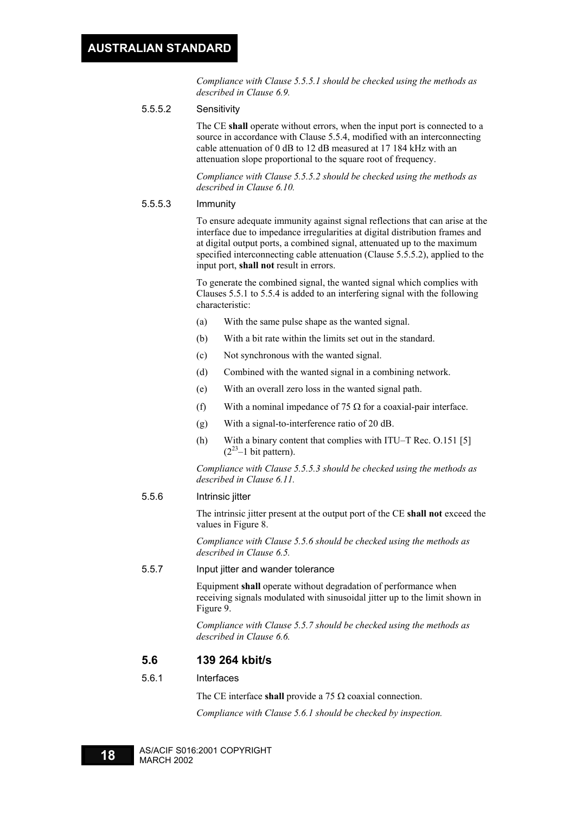*Compliance with Clause 5.5.5.1 should be checked using the methods as described in Clause 6.9.*

#### 5.5.5.2 Sensitivity

<span id="page-25-0"></span>The CE **shall** operate without errors, when the input port is connected to a source in accordance with Clause 5.5.4, modified with an interconnecting cable attenuation of 0 dB to 12 dB measured at 17 184 kHz with an attenuation slope proportional to the square root of frequency.

*Compliance with Clause 5.5.5.2 should be checked using the methods as described in Clause 6.10.*

#### 5.5.5.3 Immunity

<span id="page-25-1"></span>To ensure adequate immunity against signal reflections that can arise at the interface due to impedance irregularities at digital distribution frames and at digital output ports, a combined signal, attenuated up to the maximum specified interconnecting cable attenuation (Clause 5.5.5.2), applied to the input port, **shall not** result in errors.

To generate the combined signal, the wanted signal which complies with Clauses 5.5.1 to 5.5.4 is added to an interfering signal with the following characteristic:

- (a) With the same pulse shape as the wanted signal.
- (b) With a bit rate within the limits set out in the standard.
- (c) Not synchronous with the wanted signal.
- (d) Combined with the wanted signal in a combining network.
- (e) With an overall zero loss in the wanted signal path.
- (f) With a nominal impedance of 75  $\Omega$  for a coaxial-pair interface.
- (g) With a signal-to-interference ratio of 20 dB.
- (h) With a binary content that complies with ITU–T Rec. O.151 [5]  $(2^{23}-1)$  bit pattern).

*Compliance with Clause 5.5.5.3 should be checked using the methods as described in Clause 6.11.*

#### 5.5.6 Intrinsic jitter

<span id="page-25-2"></span>The intrinsic jitter present at the output port of the CE **shall not** exceed the values in Figure 8.

*Compliance with Clause 5.5.6 should be checked using the methods as described in Clause 6.5.*

#### 5.5.7 Input jitter and wander tolerance

<span id="page-25-3"></span>Equipment **shall** operate without degradation of performance when receiving signals modulated with sinusoidal jitter up to the limit shown in Figure 9.

<span id="page-25-4"></span>*Compliance with Clause 5.5.7 should be checked using the methods as described in Clause 6.6.*

### **5.6 139 264 kbit/s**

#### 5.6.1 Interfaces

<span id="page-25-5"></span>The CE interface **shall** provide a 75 Ω coaxial connection.

*Compliance with Clause 5.6.1 should be checked by inspection.*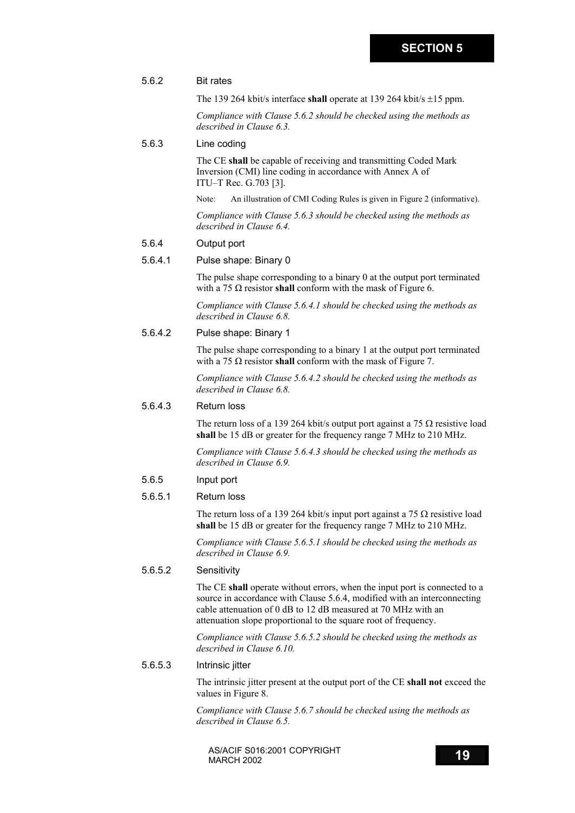#### 5.6.2 Bit rates

<span id="page-26-0"></span>The 139 264 kbit/s interface **shall** operate at 139 264 kbit/s ±15 ppm.

*Compliance with Clause 5.6.2 should be checked using the methods as described in Clause 6.3.*

#### 5.6.3 Line coding

<span id="page-26-1"></span>The CE **shall** be capable of receiving and transmitting Coded Mark Inversion (CMI) line coding in accordance with Annex A of ITU–T Rec. G.703 [3].

Note: An illustration of CMI Coding Rules is given in Figure 2 (informative).

<span id="page-26-2"></span>*Compliance with Clause 5.6.3 should be checked using the methods as described in Clause 6.4.*

#### 5.6.4 Output port

#### 5.6.4.1 Pulse shape: Binary 0

<span id="page-26-3"></span>The pulse shape corresponding to a binary 0 at the output port terminated with a 75  $\Omega$  resistor **shall** conform with the mask of Figure 6.

*Compliance with Clause 5.6.4.1 should be checked using the methods as described in Clause 6.8.*

#### 5.6.4.2 Pulse shape: Binary 1

<span id="page-26-4"></span>The pulse shape corresponding to a binary 1 at the output port terminated with a 75  $\Omega$  resistor **shall** conform with the mask of Figure 7.

*Compliance with Clause 5.6.4.2 should be checked using the methods as described in Clause 6.8.*

#### 5.6.4.3 Return loss

<span id="page-26-5"></span>The return loss of a 139 264 kbit/s output port against a 75  $\Omega$  resistive load **shall** be 15 dB or greater for the frequency range 7 MHz to 210 MHz.

<span id="page-26-6"></span>*Compliance with Clause 5.6.4.3 should be checked using the methods as described in Clause 6.9.*

#### 5.6.5 Input port

#### 5.6.5.1 Return loss

<span id="page-26-7"></span>The return loss of a 139 264 kbit/s input port against a 75  $\Omega$  resistive load **shall** be 15 dB or greater for the frequency range 7 MHz to 210 MHz.

*Compliance with Clause 5.6.5.1 should be checked using the methods as described in Clause 6.9.*

#### 5.6.5.2 Sensitivity

<span id="page-26-8"></span>The CE **shall** operate without errors, when the input port is connected to a source in accordance with Clause 5.6.4, modified with an interconnecting cable attenuation of 0 dB to 12 dB measured at 70 MHz with an attenuation slope proportional to the square root of frequency.

*Compliance with Clause 5.6.5.2 should be checked using the methods as described in Clause 6.10.*

#### 5.6.5.3 Intrinsic jitter

<span id="page-26-9"></span>The intrinsic jitter present at the output port of the CE **shall not** exceed the values in Figure 8.

*Compliance with Clause 5.6.7 should be checked using the methods as described in Clause 6.5.*

AS/ACIF S016:2001 COPYRIGHT MARCH 2002 **19**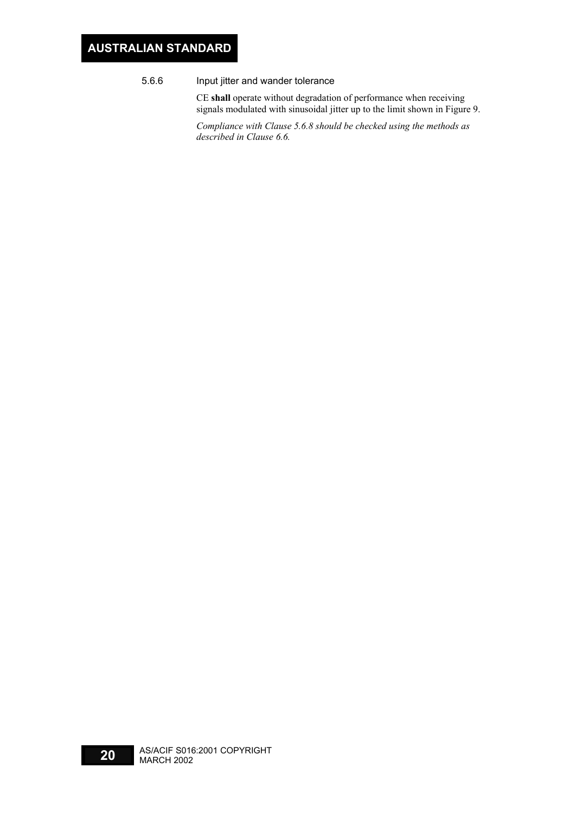#### 5.6.6 Input jitter and wander tolerance

<span id="page-27-0"></span>CE **shall** operate without degradation of performance when receiving signals modulated with sinusoidal jitter up to the limit shown in Figure 9.

*Compliance with Clause 5.6.8 should be checked using the methods as described in Clause 6.6.*

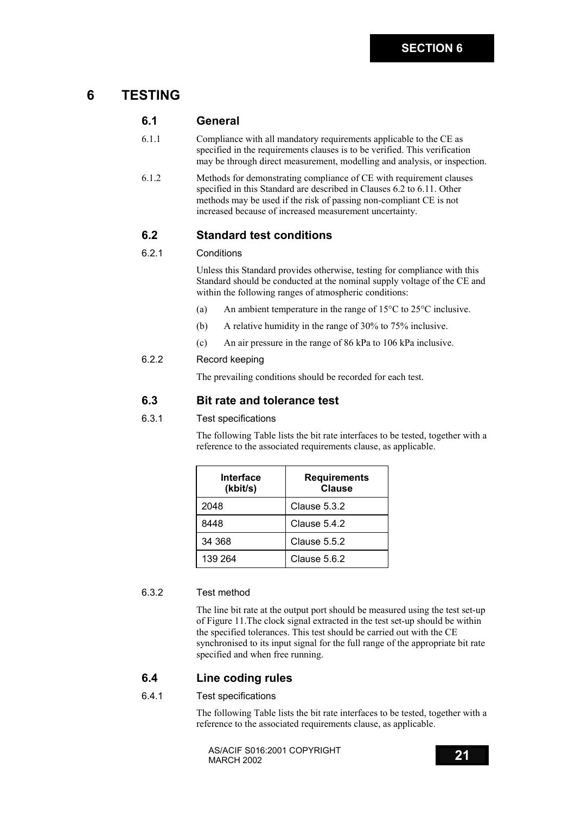## **6 TESTING**

### <span id="page-28-1"></span><span id="page-28-0"></span>**6.1 General**

- 6.1.1 Compliance with all mandatory requirements applicable to the CE as specified in the requirements clauses is to be verified. This verification may be through direct measurement, modelling and analysis, or inspection.
- 6.1.2 Methods for demonstrating compliance of CE with requirement clauses specified in this Standard are described in Clauses 6.2 to 6.11. Other methods may be used if the risk of passing non-compliant CE is not increased because of increased measurement uncertainty.

## **6.2 Standard test conditions**

#### 6.2.1 Conditions

<span id="page-28-3"></span><span id="page-28-2"></span>Unless this Standard provides otherwise, testing for compliance with this Standard should be conducted at the nominal supply voltage of the CE and within the following ranges of atmospheric conditions:

- (a) An ambient temperature in the range of 15°C to 25°C inclusive.
- (b) A relative humidity in the range of 30% to 75% inclusive.
- <span id="page-28-4"></span>(c) An air pressure in the range of 86 kPa to 106 kPa inclusive.

#### 6.2.2 Record keeping

<span id="page-28-5"></span>The prevailing conditions should be recorded for each test.

## **6.3 Bit rate and tolerance test**

#### 6.3.1 Test specifications

<span id="page-28-6"></span>The following Table lists the bit rate interfaces to be tested, together with a reference to the associated requirements clause, as applicable.

| <b>Interface</b><br>(kbit/s) | <b>Requirements</b><br>Clause |
|------------------------------|-------------------------------|
| 2048                         | Clause 5.3.2                  |
| 8448                         | Clause 5.4.2                  |
| 34 368                       | Clause 5.5.2                  |
| 139 264                      | Clause 5.6.2                  |

### 6.3.2 Test method

<span id="page-28-7"></span>The line bit rate at the output port should be measured using the test set-up of Figure 11.The clock signal extracted in the test set-up should be within the specified tolerances. This test should be carried out with the CE synchronised to its input signal for the full range of the appropriate bit rate specified and when free running.

## **6.4 Line coding rules**

#### 6.4.1 Test specifications

<span id="page-28-9"></span><span id="page-28-8"></span>The following Table lists the bit rate interfaces to be tested, together with a reference to the associated requirements clause, as applicable.

AS/ACIF S016:2001 COPYRIGHT MARCH 2002 **21**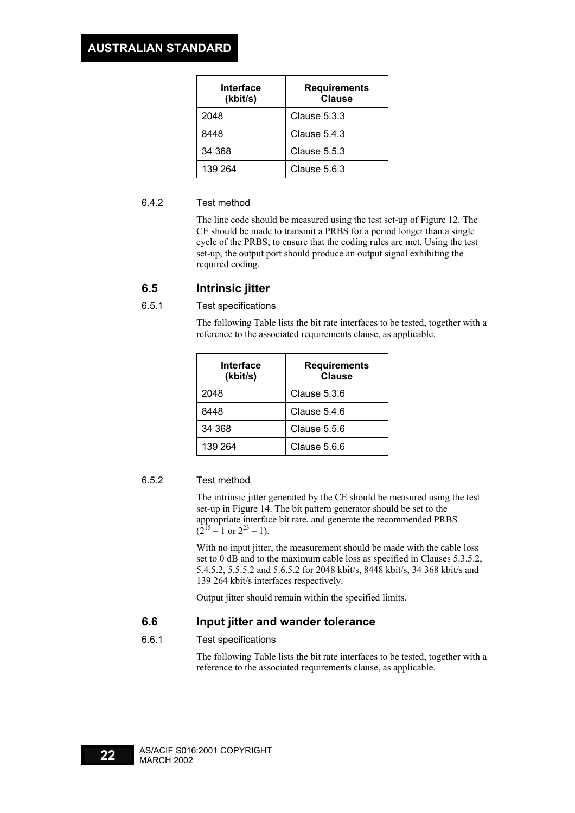| <b>Interface</b><br>(kbit/s) | <b>Requirements</b><br>Clause |
|------------------------------|-------------------------------|
| 2048                         | Clause 5.3.3                  |
| 8448                         | Clause 5.4.3                  |
| 34 368                       | Clause 5.5.3                  |
| 139 264                      | Clause 5.6.3                  |

#### 6.4.2 Test method

<span id="page-29-0"></span>The line code should be measured using the test set-up of Figure 12. The CE should be made to transmit a PRBS for a period longer than a single cycle of the PRBS, to ensure that the coding rules are met. Using the test set-up, the output port should produce an output signal exhibiting the required coding.

### **6.5 Intrinsic jitter**

#### 6.5.1 Test specifications

<span id="page-29-2"></span><span id="page-29-1"></span>The following Table lists the bit rate interfaces to be tested, together with a reference to the associated requirements clause, as applicable.

| <b>Interface</b><br>(kbit/s) | <b>Requirements</b><br>Clause |
|------------------------------|-------------------------------|
| 2048                         | Clause 5.3.6                  |
| 8448                         | Clause 5.4.6                  |
| 34 368                       | Clause 5.5.6                  |
| 139 264                      | Clause 5.6.6                  |

#### 6.5.2 Test method

<span id="page-29-3"></span>The intrinsic jitter generated by the CE should be measured using the test set-up in Figure 14. The bit pattern generator should be set to the appropriate interface bit rate, and generate the recommended PRBS  $(2^{15} - 1 \text{ or } 2^{23} - 1).$ 

With no input jitter, the measurement should be made with the cable loss set to 0 dB and to the maximum cable loss as specified in Clauses 5.3.5.2, 5.4.5.2, 5.5.5.2 and 5.6.5.2 for 2048 kbit/s, 8448 kbit/s, 34 368 kbit/s and 139 264 kbit/s interfaces respectively.

<span id="page-29-4"></span>Output jitter should remain within the specified limits.

## **6.6 Input jitter and wander tolerance**

#### 6.6.1 Test specifications

<span id="page-29-5"></span>The following Table lists the bit rate interfaces to be tested, together with a reference to the associated requirements clause, as applicable.

**22** AS/ACIF S016:2001 COPYRIGHT MARCH 2002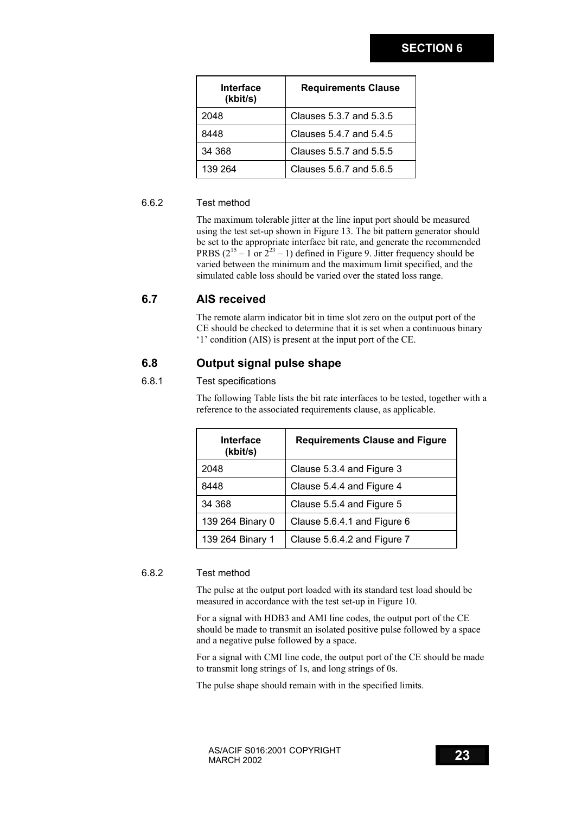| <b>Requirements Clause</b> |  |
|----------------------------|--|
| Clauses 5.3.7 and 5.3.5    |  |
| Clauses 5.4.7 and 5.4.5    |  |
| Clauses 5.5.7 and 5.5.5    |  |
| Clauses 5.6.7 and 5.6.5    |  |
|                            |  |

#### 6.6.2 Test method

<span id="page-30-0"></span>The maximum tolerable jitter at the line input port should be measured using the test set-up shown in Figure 13. The bit pattern generator should be set to the appropriate interface bit rate, and generate the recommended PRBS  $(2^{15} – 1 \text{ or } 2^{23} – 1)$  defined in Figure 9. Jitter frequency should be varied between the minimum and the maximum limit specified, and the simulated cable loss should be varied over the stated loss range.

### **6.7 AIS received**

<span id="page-30-1"></span>The remote alarm indicator bit in time slot zero on the output port of the CE should be checked to determine that it is set when a continuous binary '1' condition (AIS) is present at the input port of the CE.

## **6.8 Output signal pulse shape**

#### 6.8.1 Test specifications

<span id="page-30-3"></span><span id="page-30-2"></span>The following Table lists the bit rate interfaces to be tested, together with a reference to the associated requirements clause, as applicable.

| <b>Interface</b><br>(kbit/s) | <b>Requirements Clause and Figure</b> |  |
|------------------------------|---------------------------------------|--|
| 2048                         | Clause 5.3.4 and Figure 3             |  |
| 8448                         | Clause 5.4.4 and Figure 4             |  |
| 34 368                       | Clause 5.5.4 and Figure 5             |  |
| 139 264 Binary 0             | Clause 5.6.4.1 and Figure 6           |  |
| 139 264 Binary 1             | Clause 5.6.4.2 and Figure 7           |  |

#### 6.8.2 Test method

<span id="page-30-4"></span>The pulse at the output port loaded with its standard test load should be measured in accordance with the test set-up in Figure 10.

For a signal with HDB3 and AMI line codes, the output port of the CE should be made to transmit an isolated positive pulse followed by a space and a negative pulse followed by a space.

For a signal with CMI line code, the output port of the CE should be made to transmit long strings of 1s, and long strings of 0s.

The pulse shape should remain with in the specified limits.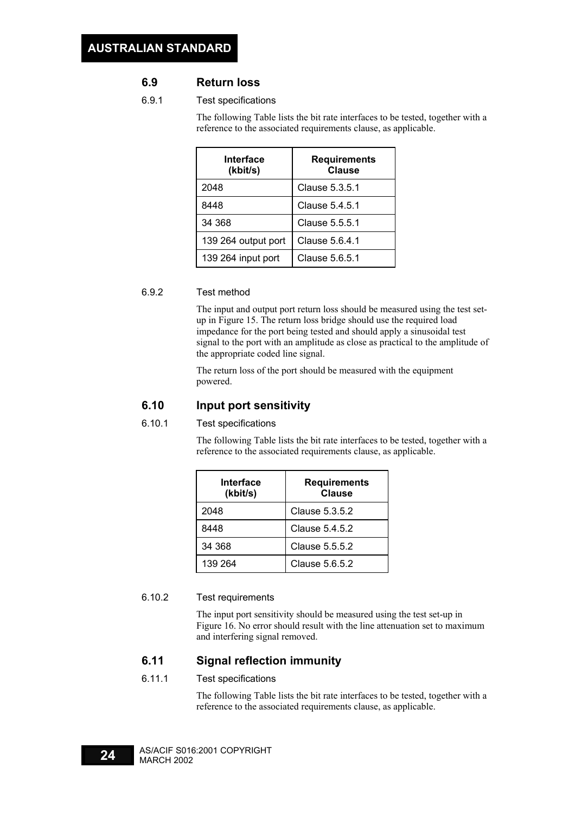## **6.9 Return loss**

#### 6.9.1 Test specifications

<span id="page-31-1"></span><span id="page-31-0"></span>The following Table lists the bit rate interfaces to be tested, together with a reference to the associated requirements clause, as applicable.

| <b>Interface</b><br>(kbit/s) | <b>Requirements</b><br>Clause |
|------------------------------|-------------------------------|
| 2048                         | Clause 5.3.5.1                |
| 8448                         | Clause 5.4.5.1                |
| 34 368                       | Clause 5.5.5.1                |
| 139 264 output port          | Clause 5.6.4.1                |
| 139 264 input port           | Clause 5.6.5.1                |

#### 6.9.2 Test method

<span id="page-31-2"></span>The input and output port return loss should be measured using the test setup in Figure 15. The return loss bridge should use the required load impedance for the port being tested and should apply a sinusoidal test signal to the port with an amplitude as close as practical to the amplitude of the appropriate coded line signal.

<span id="page-31-3"></span>The return loss of the port should be measured with the equipment powered.

### **6.10 Input port sensitivity**

#### 6.10.1 Test specifications

<span id="page-31-4"></span>The following Table lists the bit rate interfaces to be tested, together with a reference to the associated requirements clause, as applicable.

| <b>Interface</b><br>(kbit/s) | <b>Requirements</b><br>Clause |
|------------------------------|-------------------------------|
| 2048                         | Clause 5.3.5.2                |
| 8448                         | Clause 5.4.5.2                |
| 34 368                       | Clause 5.5.5.2                |
| 139 264                      | Clause 5.6.5.2                |

#### 6.10.2 Test requirements

<span id="page-31-5"></span>The input port sensitivity should be measured using the test set-up in Figure 16. No error should result with the line attenuation set to maximum and interfering signal removed.

## **6.11 Signal reflection immunity**

#### 6.11.1 Test specifications

<span id="page-31-7"></span><span id="page-31-6"></span>The following Table lists the bit rate interfaces to be tested, together with a reference to the associated requirements clause, as applicable.

**24** AS/ACIF S016:2001 COPYRIGHT MARCH 2002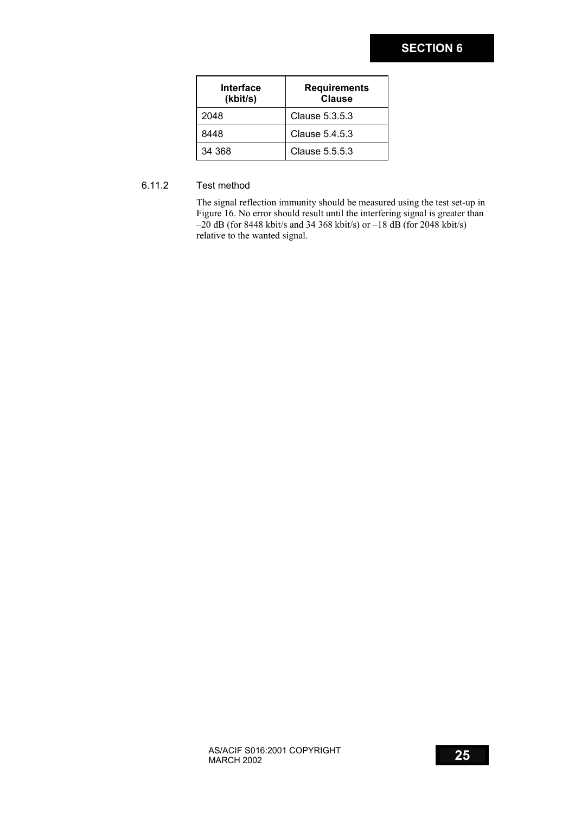| <b>Interface</b><br>(kbit/s) | <b>Requirements</b><br>Clause |
|------------------------------|-------------------------------|
| 2048                         | Clause 5.3.5.3                |
| 8448                         | Clause 5.4.5.3                |
| 34 368                       | Clause 5.5.5.3                |

### 6.11.2 Test method

<span id="page-32-0"></span>The signal reflection immunity should be measured using the test set-up in Figure 16. No error should result until the interfering signal is greater than –20 dB (for 8448 kbit/s and 34 368 kbit/s) or –18 dB (for 2048 kbit/s) relative to the wanted signal.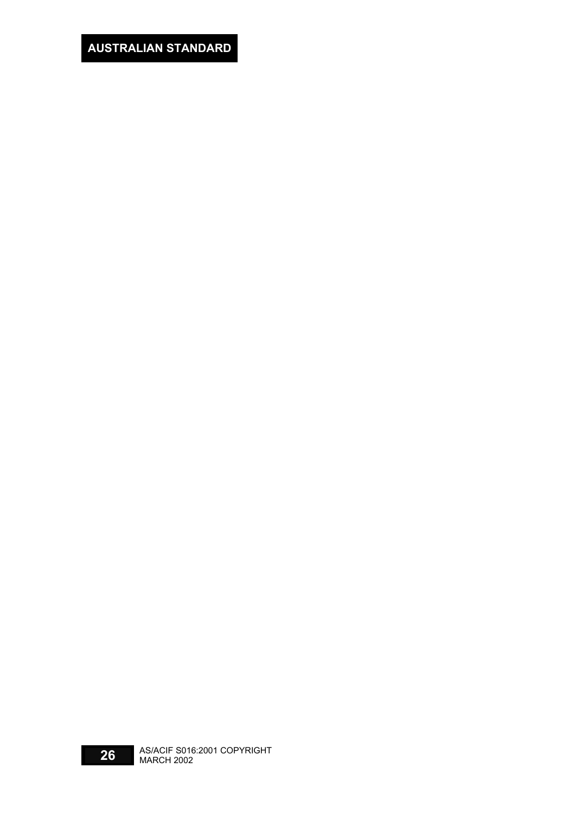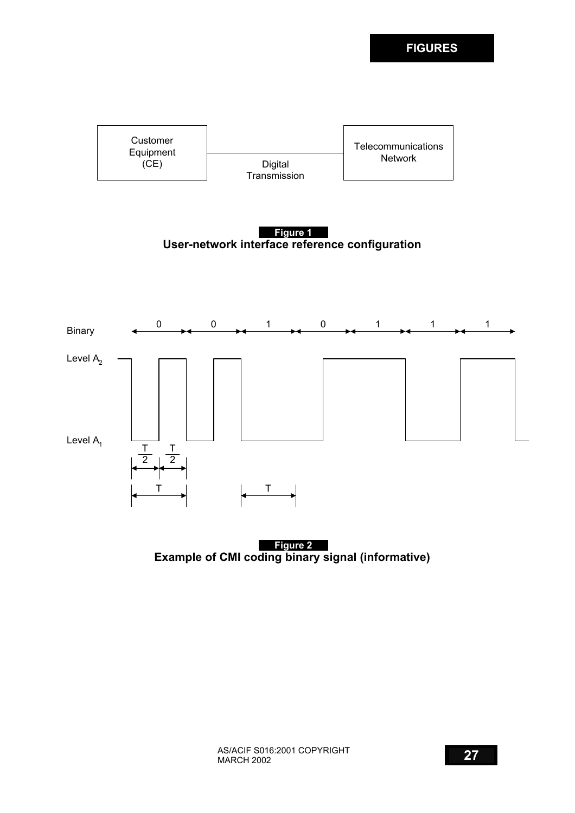<span id="page-34-0"></span>**FIGURES**



<span id="page-34-1"></span>**Example of CMI coding binary signal (informative)**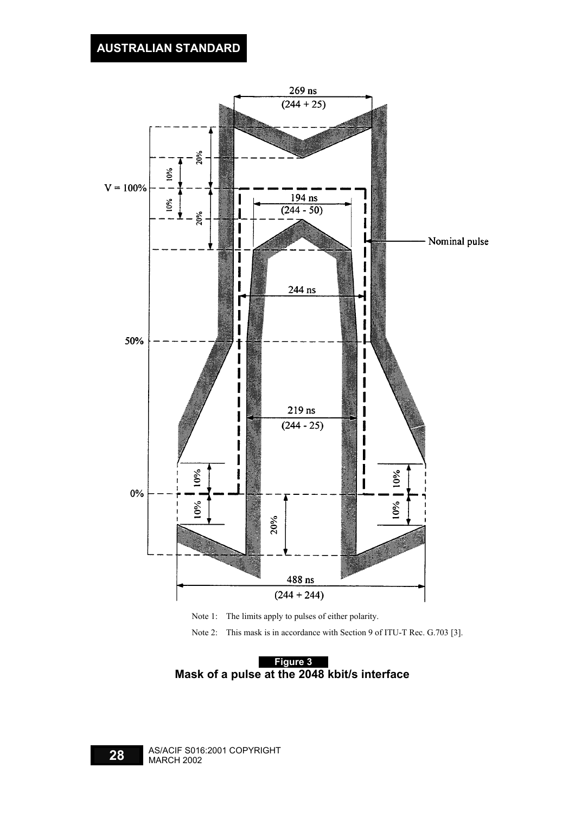



<span id="page-35-0"></span>Note 2: This mask is in accordance with Section 9 of ITU-T Rec. G.703 [3].



**28** AS/ACIF S016:2001 COPYRIGHT MARCH 2002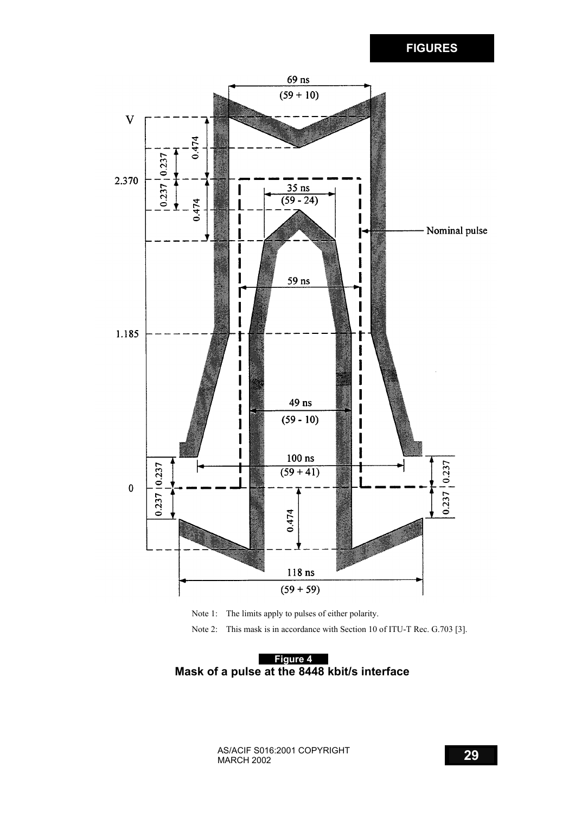



<span id="page-36-0"></span>Note 2: This mask is in accordance with Section 10 of ITU-T Rec. G.703 [3].



AS/ACIF S016:2001 COPYRIGHT MARCH 2002 **29**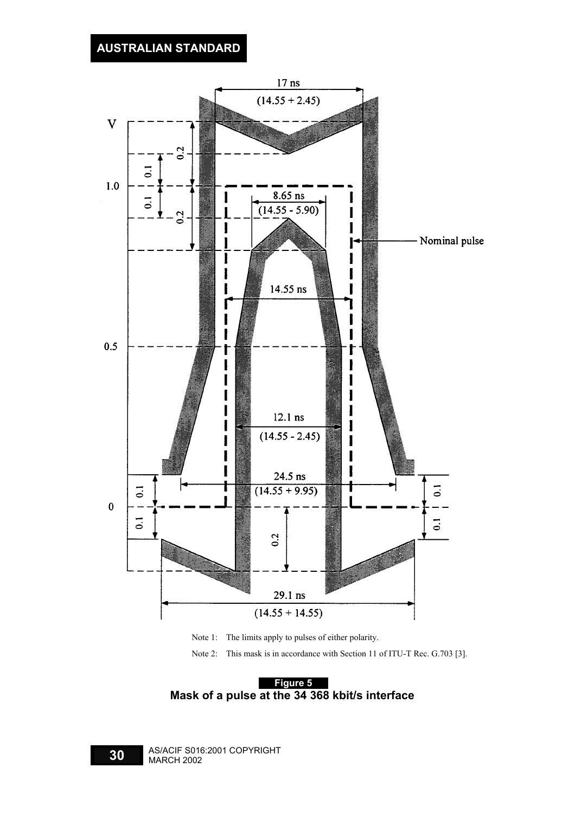

<span id="page-37-0"></span>



**30** AS/ACIF S016:2001 COPYRIGHT MARCH 2002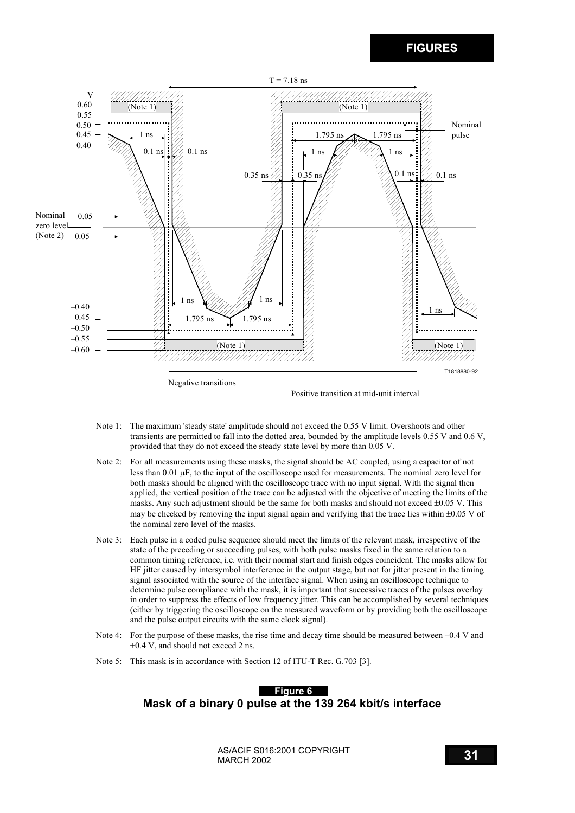

- Note 1: The maximum 'steady state' amplitude should not exceed the 0.55 V limit. Overshoots and other transients are permitted to fall into the dotted area, bounded by the amplitude levels 0.55 V and 0.6 V, provided that they do not exceed the steady state level by more than 0.05 V.
- Note 2: For all measurements using these masks, the signal should be AC coupled, using a capacitor of not less than 0.01 µF, to the input of the oscilloscope used for measurements. The nominal zero level for both masks should be aligned with the oscilloscope trace with no input signal. With the signal then applied, the vertical position of the trace can be adjusted with the objective of meeting the limits of the masks. Any such adjustment should be the same for both masks and should not exceed ±0.05 V. This may be checked by removing the input signal again and verifying that the trace lies within  $\pm 0.05$  V of the nominal zero level of the masks.
- Note 3: Each pulse in a coded pulse sequence should meet the limits of the relevant mask, irrespective of the state of the preceding or succeeding pulses, with both pulse masks fixed in the same relation to a common timing reference, i.e. with their normal start and finish edges coincident. The masks allow for HF jitter caused by intersymbol interference in the output stage, but not for jitter present in the timing signal associated with the source of the interface signal. When using an oscilloscope technique to determine pulse compliance with the mask, it is important that successive traces of the pulses overlay in order to suppress the effects of low frequency jitter. This can be accomplished by several techniques (either by triggering the oscilloscope on the measured waveform or by providing both the oscilloscope and the pulse output circuits with the same clock signal).
- Note 4: For the purpose of these masks, the rise time and decay time should be measured between –0.4 V and +0.4 V, and should not exceed 2 ns.
- Note 5: This mask is in accordance with Section 12 of ITU-T Rec. G.703 [3].

**Figure 6 Mask of a binary 0 pulse at the 139 264 kbit/s interface**

<span id="page-38-0"></span>AS/ACIF S016:2001 COPYRIGHT MARCH 2002 **31**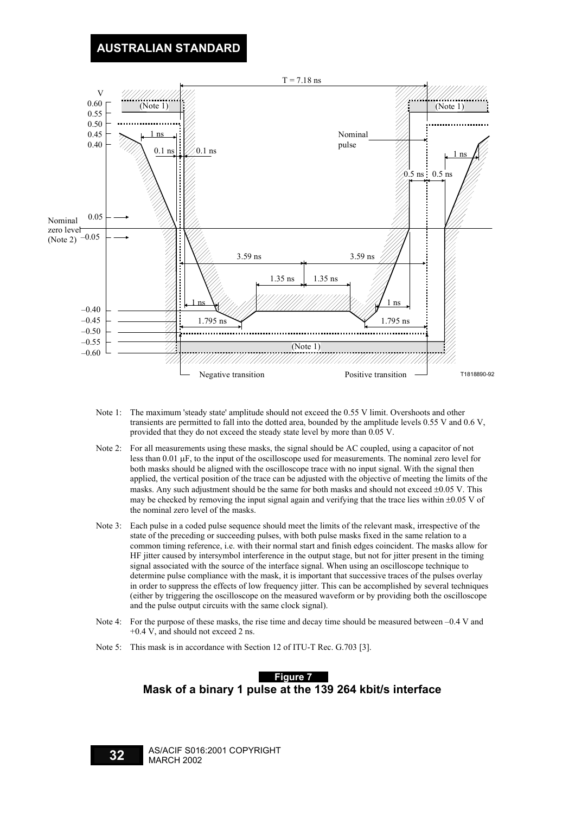

- Note 1: The maximum 'steady state' amplitude should not exceed the 0.55 V limit. Overshoots and other transients are permitted to fall into the dotted area, bounded by the amplitude levels 0.55 V and 0.6 V, provided that they do not exceed the steady state level by more than 0.05 V.
- Note 2: For all measurements using these masks, the signal should be AC coupled, using a capacitor of not less than 0.01 µF, to the input of the oscilloscope used for measurements. The nominal zero level for both masks should be aligned with the oscilloscope trace with no input signal. With the signal then applied, the vertical position of the trace can be adjusted with the objective of meeting the limits of the masks. Any such adjustment should be the same for both masks and should not exceed ±0.05 V. This may be checked by removing the input signal again and verifying that the trace lies within ±0.05 V of the nominal zero level of the masks.
- Note 3: Each pulse in a coded pulse sequence should meet the limits of the relevant mask, irrespective of the state of the preceding or succeeding pulses, with both pulse masks fixed in the same relation to a common timing reference, i.e. with their normal start and finish edges coincident. The masks allow for HF jitter caused by intersymbol interference in the output stage, but not for jitter present in the timing signal associated with the source of the interface signal. When using an oscilloscope technique to determine pulse compliance with the mask, it is important that successive traces of the pulses overlay in order to suppress the effects of low frequency jitter. This can be accomplished by several techniques (either by triggering the oscilloscope on the measured waveform or by providing both the oscilloscope and the pulse output circuits with the same clock signal).
- Note 4: For the purpose of these masks, the rise time and decay time should be measured between –0.4 V and +0.4 V, and should not exceed 2 ns.
- Note 5: This mask is in accordance with Section 12 of ITU-T Rec. G.703 [3].

#### <span id="page-39-0"></span>**Figure 7 Mask of a binary 1 pulse at the 139 264 kbit/s interface**

**32** AS/ACIF S016:2001 COPYRIGHT MARCH 2002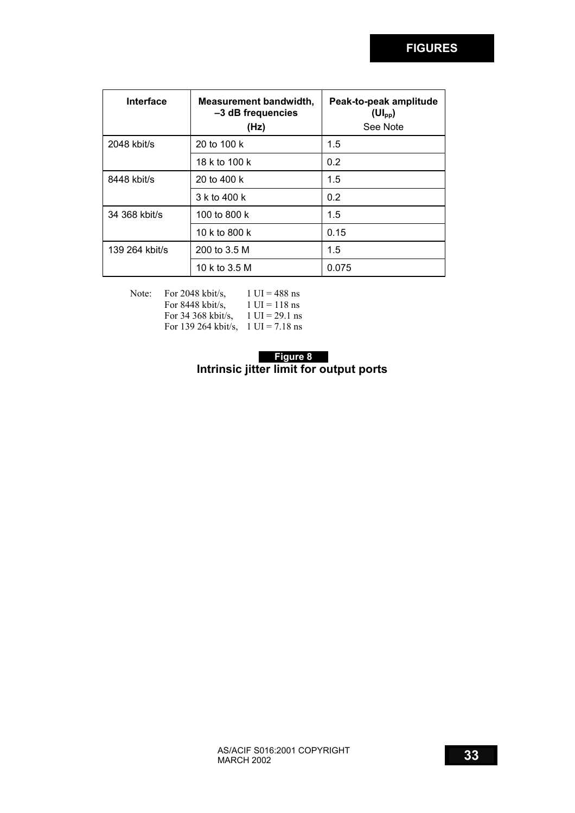| <b>Interface</b> | <b>Measurement bandwidth,</b><br>-3 dB frequencies<br>(Hz) | Peak-to-peak amplitude<br>$(UI_{pp})$<br>See Note |
|------------------|------------------------------------------------------------|---------------------------------------------------|
| 2048 kbit/s      | 20 to 100 k                                                | 1.5                                               |
|                  | 18 k to 100 k                                              | 0.2                                               |
| 8448 kbit/s      | 20 to 400 k                                                | 1.5                                               |
|                  | 3 k to 400 k                                               | 0.2                                               |
| 34 368 kbit/s    | 100 to 800 k                                               | 1.5                                               |
|                  | 10 k to 800 k                                              | 0.15                                              |
| 139 264 kbit/s   | 200 to 3.5 M                                               | 1.5                                               |
|                  | 10 k to 3.5 M                                              | 0.075                                             |

| Note: | For $2048$ kbit/s,  | 1 UI = $488$ ns                  |
|-------|---------------------|----------------------------------|
|       | For $8448$ kbit/s,  | $1 \text{ UI} = 118 \text{ ns}$  |
|       | For 34 368 kbit/s.  | $1 \text{ UI} = 29.1 \text{ ns}$ |
|       | For 139 264 kbit/s, | $1 \text{ UI} = 7.18 \text{ ns}$ |

#### <span id="page-40-0"></span>**Figure 8 Intrinsic jitter limit for output ports**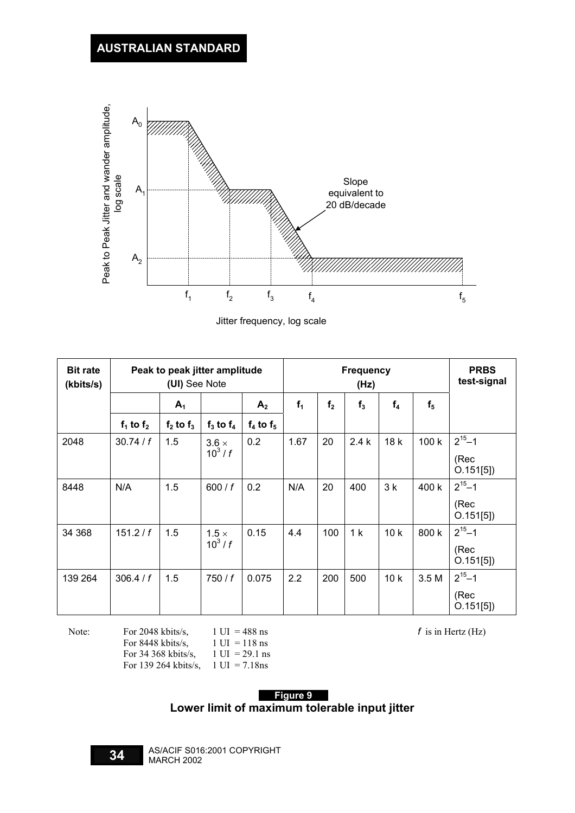

Jitter frequency, log scale

| <b>Bit rate</b><br>(kbits/s) | Peak to peak jitter amplitude<br>(UI) See Note |                | <b>Frequency</b><br>(Hz) |                |                |                | <b>PRBS</b><br>test-signal |       |                |                  |
|------------------------------|------------------------------------------------|----------------|--------------------------|----------------|----------------|----------------|----------------------------|-------|----------------|------------------|
|                              |                                                | A <sub>1</sub> |                          | A <sub>2</sub> | f <sub>1</sub> | f <sub>2</sub> | $f_3$                      | $f_4$ | f <sub>5</sub> |                  |
|                              | $f_1$ to $f_2$                                 | $f2$ to $f3$   | $f_3$ to $f_4$           | $f_4$ to $f_5$ |                |                |                            |       |                |                  |
| 2048                         | 30.74/f                                        | 1.5            | $3.6 \times$             | 0.2            | 1.67           | 20             | 2.4k                       | 18 k  | 100 k          | $2^{15} - 1$     |
|                              |                                                |                | $10^3/f$                 |                |                |                |                            |       |                | (Rec<br>0.151[5] |
| 8448                         | N/A                                            | 1.5            | 600 / $f$                | 0.2            | N/A            | 20             | 400                        | 3k    | 400 k          | $2^{15} - 1$     |
|                              |                                                |                |                          |                |                |                |                            |       |                | (Rec<br>0.151[5] |
| 34 368                       | 151.2/f                                        | 1.5            | $1.5 \times$             | 0.15           | 4.4            | 100            | 1 <sub>k</sub>             | 10k   | 800 k          | $2^{15} - 1$     |
|                              |                                                |                | $10^3/f$                 |                |                |                |                            |       |                | (Rec<br>0.151[5] |
| 139 264                      | 306.4 / f                                      | 1.5            | 750 / f                  | 0.075          | 2.2            | 200            | 500                        | 10k   | 3.5 M          | $2^{15} - 1$     |
|                              |                                                |                |                          |                |                |                |                            |       |                | (Rec<br>O.151[5] |

Note: For 2048 kbits/s, 1 UI = 488 ns *f* is in Hertz (Hz) For 8448 kbits/s,  $1 \text{ UI} = 118 \text{ ns}$ <br>For 34 368 kbits/s,  $1 \text{ UI} = 29.1 \text{ ns}$ For 34 368 kbits/s,  $1 \text{ UI} = 29.1 \text{ ns}$ <br>For 139 264 kbits/s,  $1 \text{ UI} = 7.18 \text{ ns}$ For 139 264 kbits/s,

<span id="page-41-0"></span>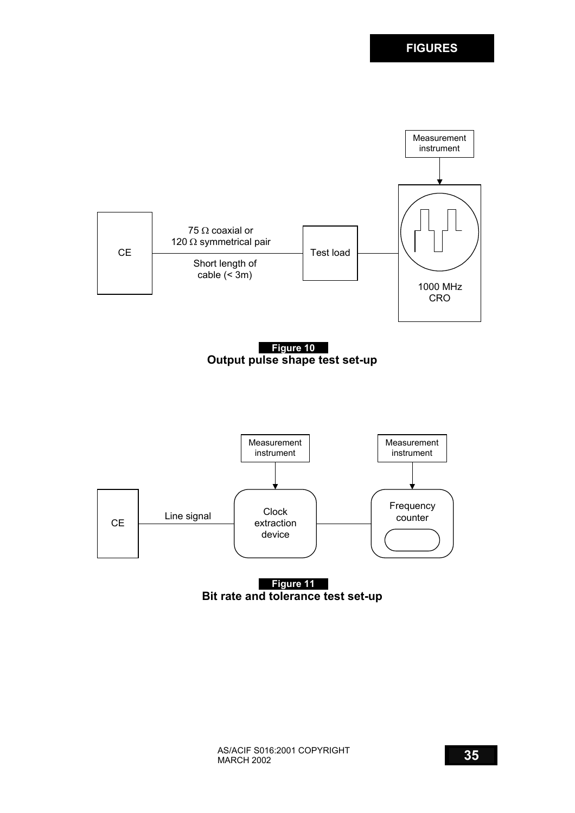<span id="page-42-0"></span>**FIGURES**





<span id="page-42-1"></span>**Figure 11 Bit rate and tolerance test set-up**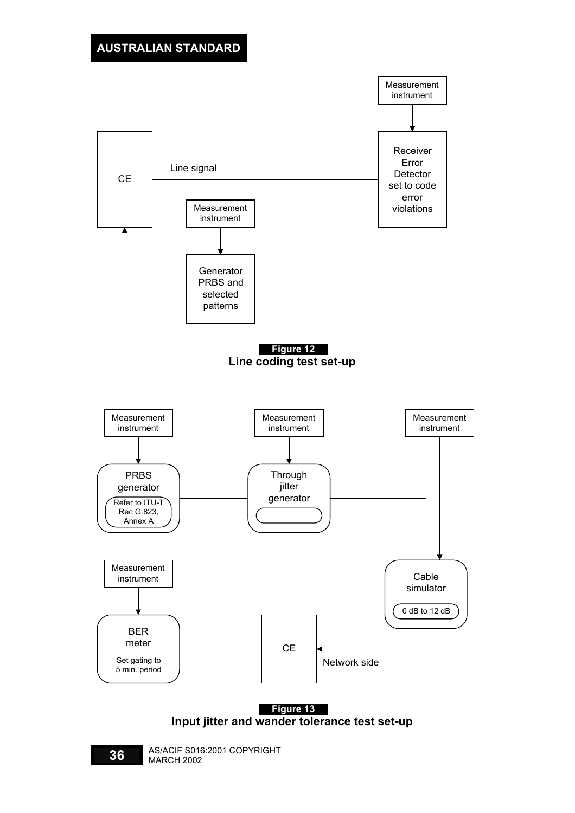<span id="page-43-0"></span>

<span id="page-43-1"></span>**Input jitter and wander tolerance test set-up**

**36** AS/ACIF S016:2001 COPYRIGHT MARCH 2002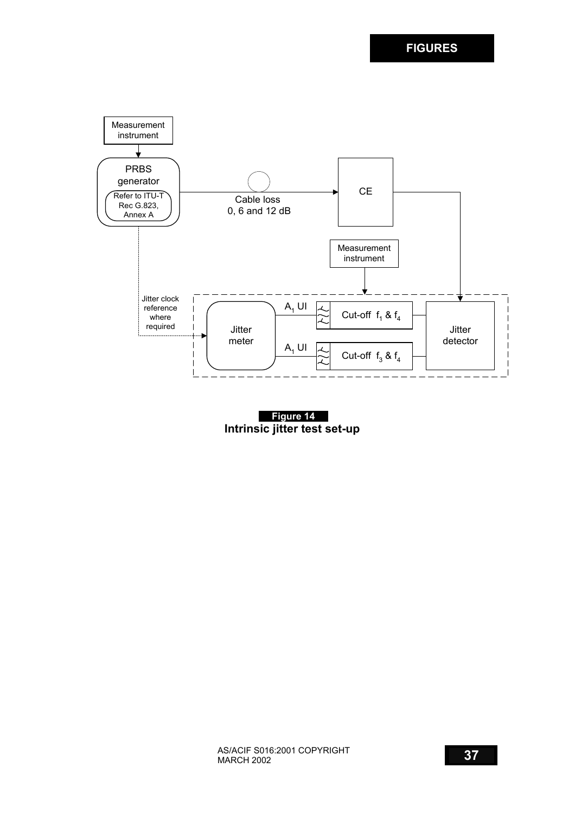<span id="page-44-0"></span>

**Figure 14 Intrinsic jitter test set-up**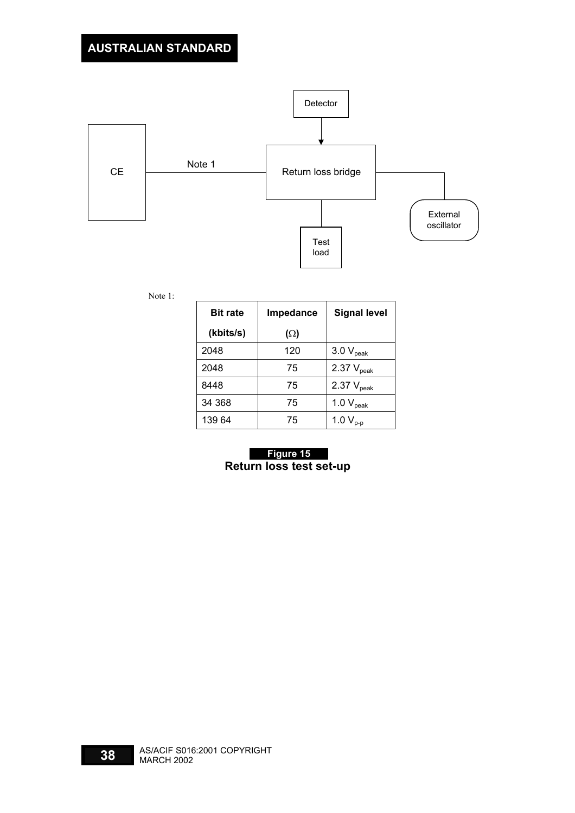

Note 1:

| <b>Bit rate</b> | Impedance  | <b>Signal level</b>   |
|-----------------|------------|-----------------------|
| (kbits/s)       | $(\Omega)$ |                       |
| 2048            | 120        | 3.0 V <sub>peak</sub> |
| 2048            | 75         | 2.37 $V_{peak}$       |
| 8448            | 75         | 2.37 $V_{peak}$       |
| 34 368          | 75         | 1.0 V <sub>peak</sub> |
| 139 64          | 75         | 1.0 $V_{p-p}$         |

<span id="page-45-0"></span>**Figure 15 Return loss test set-up**

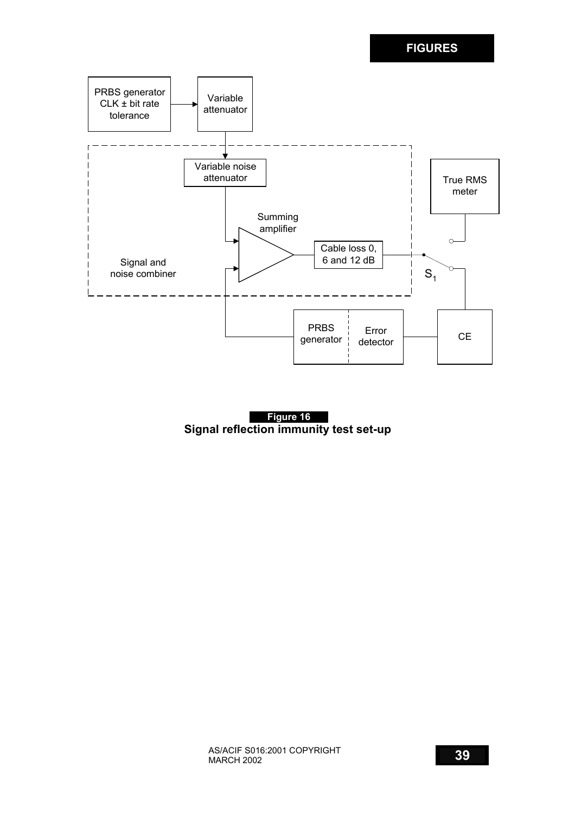<span id="page-46-0"></span>

**Figure 16 Signal reflection immunity test set-up**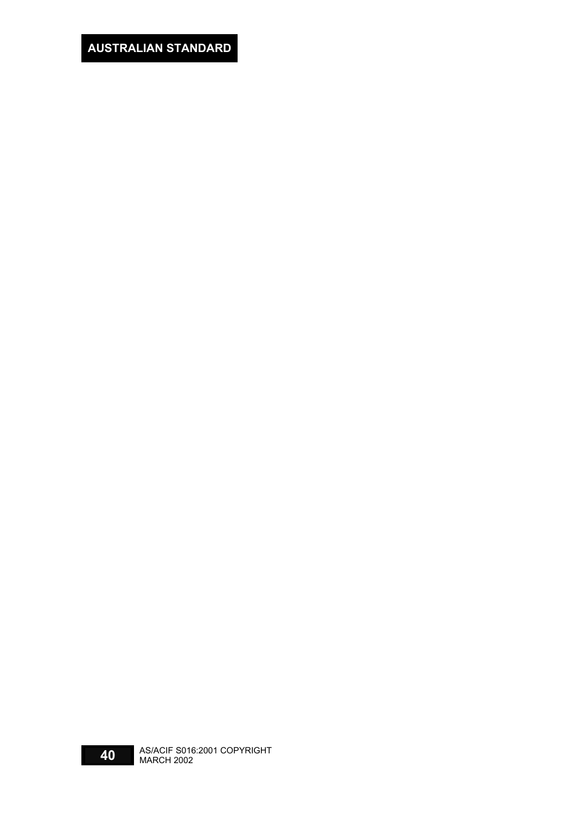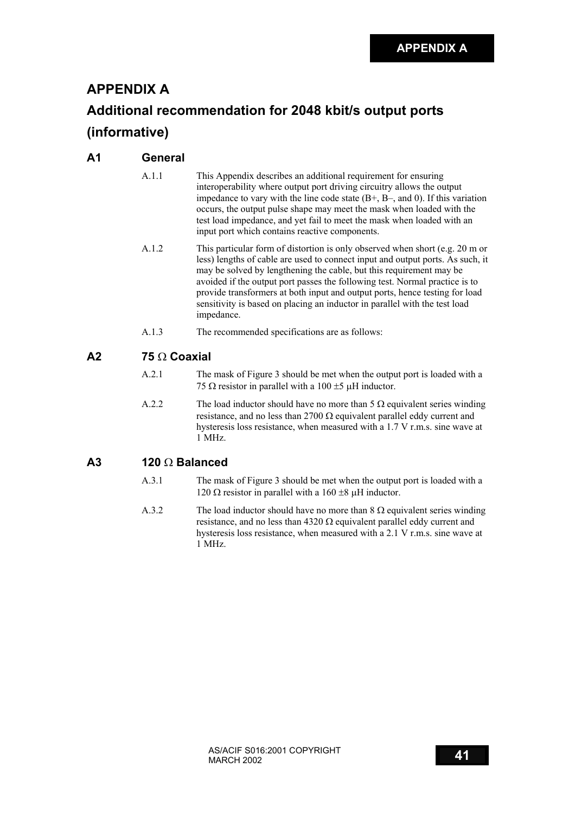## <span id="page-48-0"></span>**APPENDIX A Additional recommendation for 2048 kbit/s output ports (informative)**

## **A1 General**

A.1.1 This Appendix describes an additional requirement for ensuring interoperability where output port driving circuitry allows the output impedance to vary with the line code state  $(B+, B-, \text{ and } 0)$ . If this variation occurs, the output pulse shape may meet the mask when loaded with the test load impedance, and yet fail to meet the mask when loaded with an input port which contains reactive components.

- A.1.2 This particular form of distortion is only observed when short (e.g. 20 m or less) lengths of cable are used to connect input and output ports. As such, it may be solved by lengthening the cable, but this requirement may be avoided if the output port passes the following test. Normal practice is to provide transformers at both input and output ports, hence testing for load sensitivity is based on placing an inductor in parallel with the test load impedance.
- A.1.3 The recommended specifications are as follows:

### **A2 75** Ω **Coaxial**

- A.2.1 The mask of Figure 3 should be met when the output port is loaded with a 75 Ω resistor in parallel with a 100  $\pm$ 5 μH inductor.
- $A.2.2$  The load inductor should have no more than 5  $\Omega$  equivalent series winding resistance, and no less than 2700  $\Omega$  equivalent parallel eddy current and hysteresis loss resistance, when measured with a 1.7 V r.m.s. sine wave at 1 MHz.

### **A3 120** Ω **Balanced**

- A.3.1 The mask of Figure 3 should be met when the output port is loaded with a 120 Ω resistor in parallel with a 160  $\pm$ 8 μH inductor.
- A.3.2 The load inductor should have no more than  $8 \Omega$  equivalent series winding resistance, and no less than  $4320 \Omega$  equivalent parallel eddy current and hysteresis loss resistance, when measured with a 2.1 V r.m.s. sine wave at 1 MHz.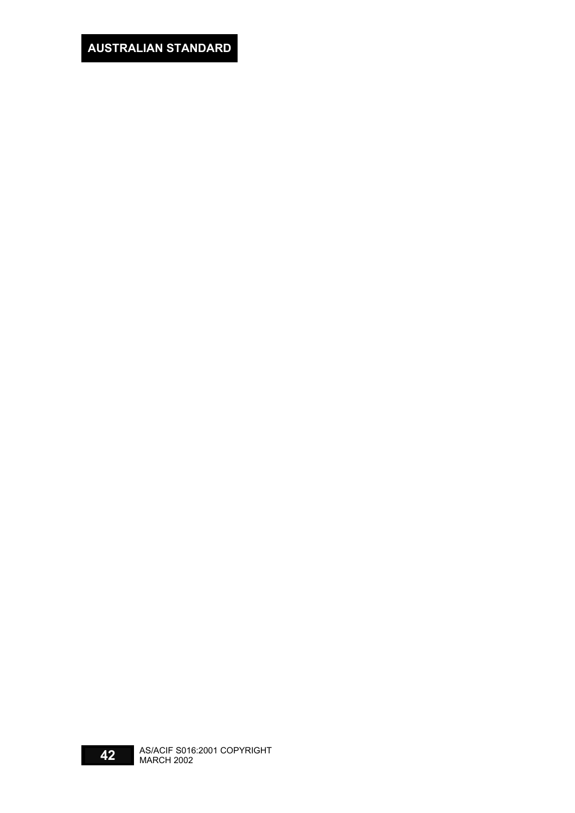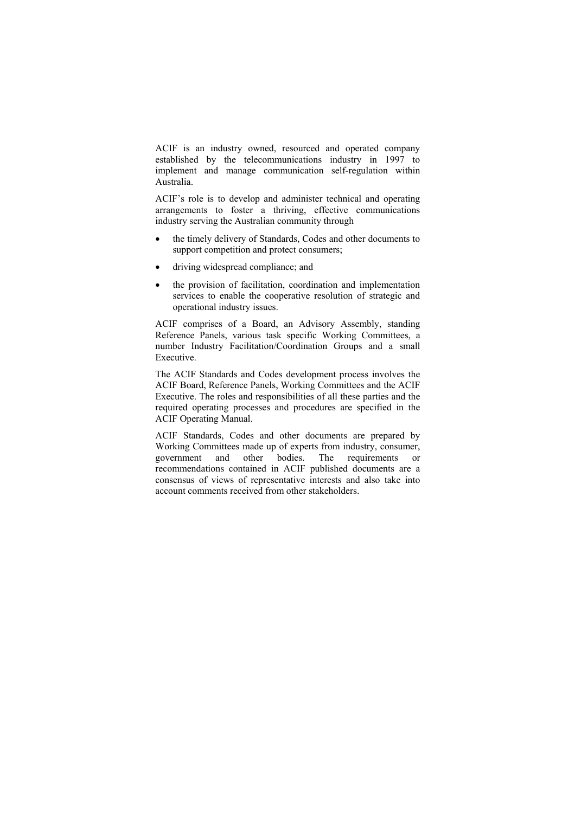ACIF is an industry owned, resourced and operated company established by the telecommunications industry in 1997 to implement and manage communication self-regulation within Australia.

ACIF's role is to develop and administer technical and operating arrangements to foster a thriving, effective communications industry serving the Australian community through

- the timely delivery of Standards, Codes and other documents to support competition and protect consumers;
- driving widespread compliance; and
- the provision of facilitation, coordination and implementation services to enable the cooperative resolution of strategic and operational industry issues.

ACIF comprises of a Board, an Advisory Assembly, standing Reference Panels, various task specific Working Committees, a number Industry Facilitation/Coordination Groups and a small Executive.

The ACIF Standards and Codes development process involves the ACIF Board, Reference Panels, Working Committees and the ACIF Executive. The roles and responsibilities of all these parties and the required operating processes and procedures are specified in the ACIF Operating Manual.

ACIF Standards, Codes and other documents are prepared by Working Committees made up of experts from industry, consumer, government and other bodies. The requirements or recommendations contained in ACIF published documents are a consensus of views of representative interests and also take into account comments received from other stakeholders.